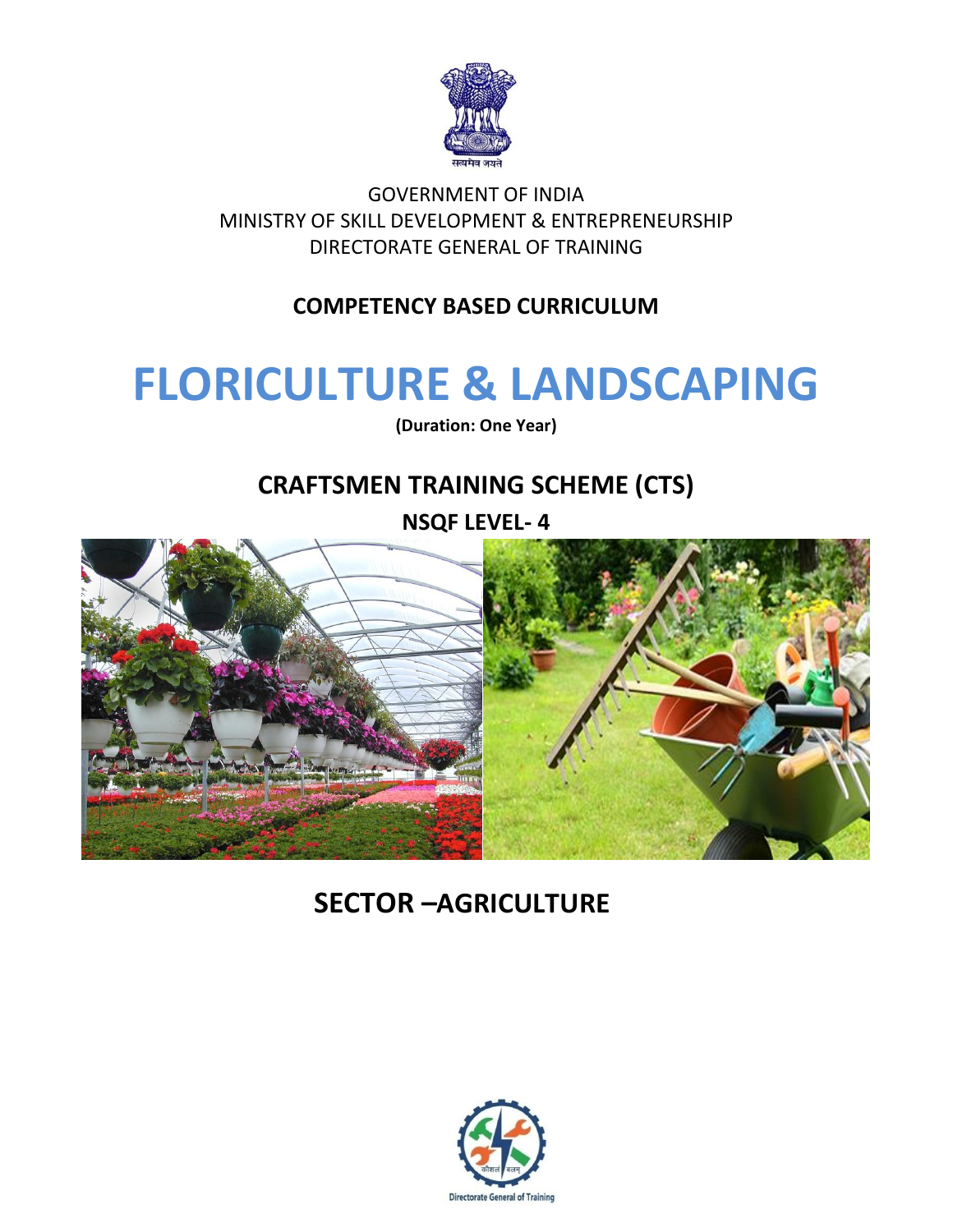

GOVERNMENT OF INDIA MINISTRY OF SKILL DEVELOPMENT & ENTREPRENEURSHIP DIRECTORATE GENERAL OF TRAINING

### **COMPETENCY BASED CURRICULUM**

## **FLORICULTURE & LANDSCAPING**

**(Duration: One Year)**

## **CRAFTSMEN TRAINING SCHEME (CTS)**

**NSQF LEVEL- 4**



## **SECTOR –AGRICULTURE**

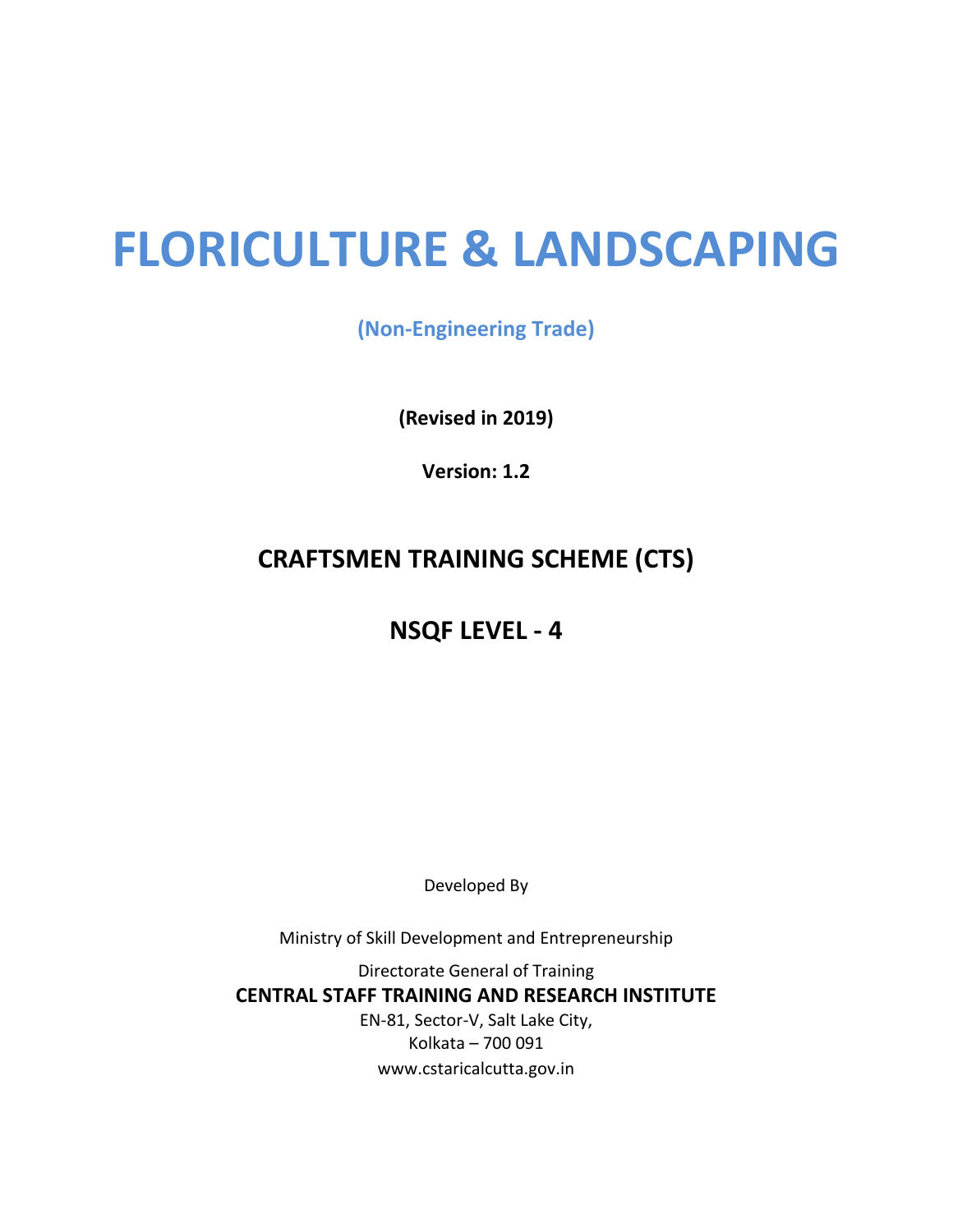# **FLORICULTURE & LANDSCAPING**

**(Non-Engineering Trade)**

**(Revised in 2019)**

**Version: 1.2**

## **CRAFTSMEN TRAINING SCHEME (CTS)**

### **NSQF LEVEL - 4**

Developed By

Ministry of Skill Development and Entrepreneurship

Directorate General of Training **CENTRAL STAFF TRAINING AND RESEARCH INSTITUTE** EN-81, Sector-V, Salt Lake City, Kolkata – 700 091 www.cstaricalcutta.gov.in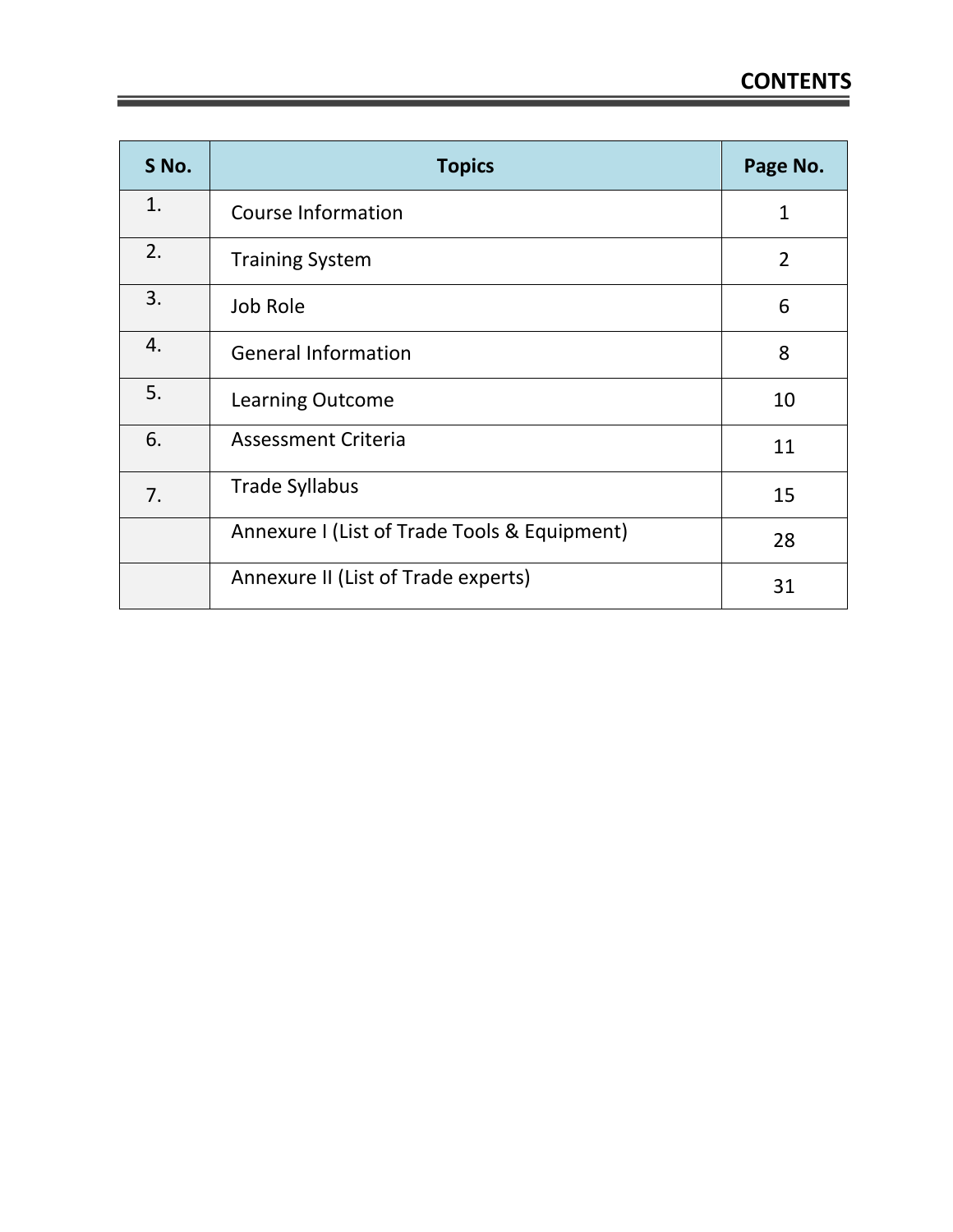| S No. | <b>Topics</b>                                | Page No.       |
|-------|----------------------------------------------|----------------|
| 1.    | <b>Course Information</b>                    | 1              |
| 2.    | <b>Training System</b>                       | $\overline{2}$ |
| 3.    | Job Role                                     | 6              |
| 4.    | <b>General Information</b>                   | 8              |
| 5.    | <b>Learning Outcome</b>                      | 10             |
| 6.    | <b>Assessment Criteria</b>                   | 11             |
| 7.    | <b>Trade Syllabus</b>                        | 15             |
|       | Annexure I (List of Trade Tools & Equipment) | 28             |
|       | Annexure II (List of Trade experts)          | 31             |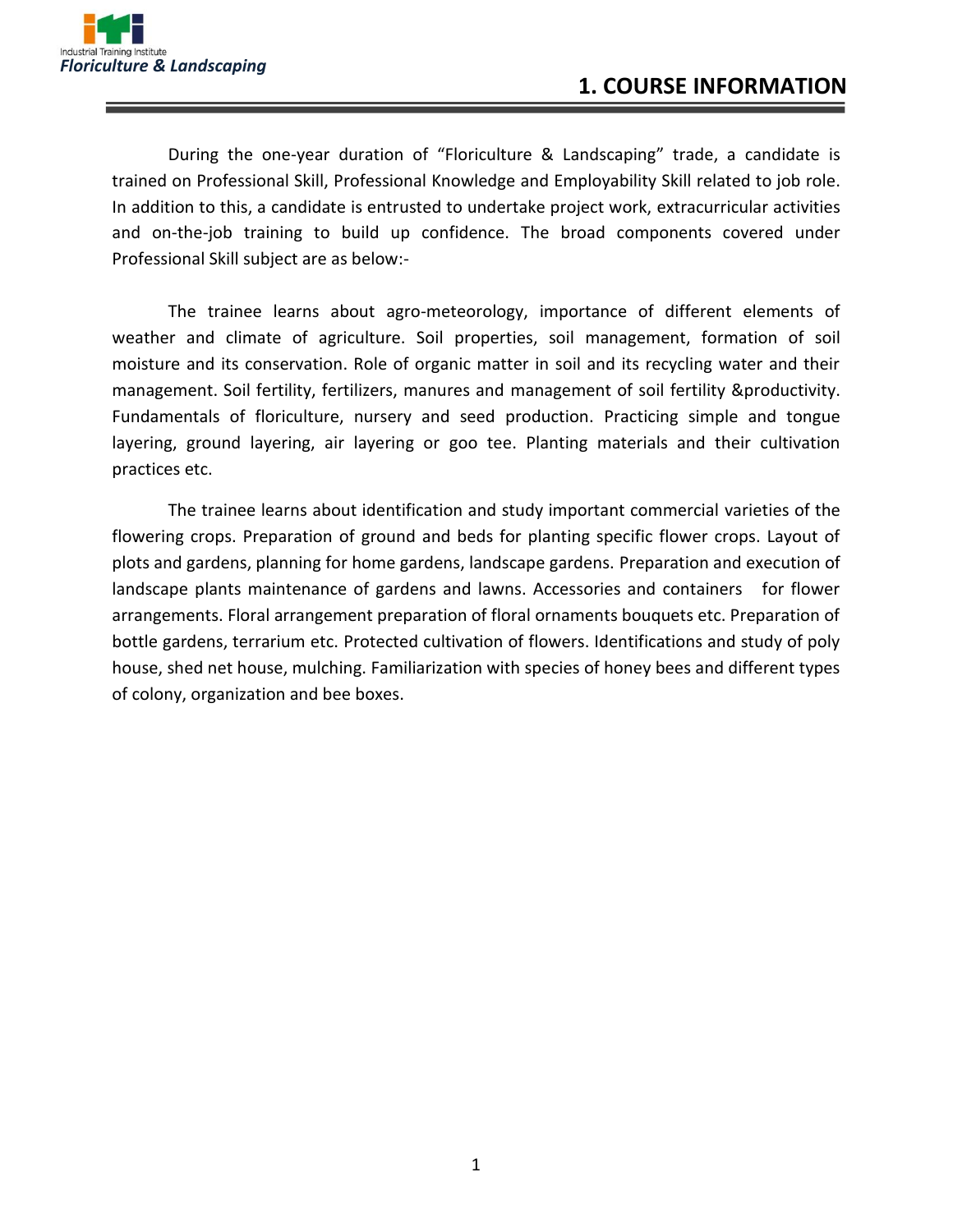

During the one-year duration of "Floriculture & Landscaping" trade, a candidate is trained on Professional Skill, Professional Knowledge and Employability Skill related to job role. In addition to this, a candidate is entrusted to undertake project work, extracurricular activities and on-the-job training to build up confidence. The broad components covered under Professional Skill subject are as below:-

The trainee learns about agro-meteorology, importance of different elements of weather and climate of agriculture. Soil properties, soil management, formation of soil moisture and its conservation. Role of organic matter in soil and its recycling water and their management. Soil fertility, fertilizers, manures and management of soil fertility &productivity. Fundamentals of floriculture, nursery and seed production. Practicing simple and tongue layering, ground layering, air layering or goo tee. Planting materials and their cultivation practices etc.

The trainee learns about identification and study important commercial varieties of the flowering crops. Preparation of ground and beds for planting specific flower crops. Layout of plots and gardens, planning for home gardens, landscape gardens. Preparation and execution of landscape plants maintenance of gardens and lawns. Accessories and containers for flower arrangements. Floral arrangement preparation of floral ornaments bouquets etc. Preparation of bottle gardens, terrarium etc. Protected cultivation of flowers. Identifications and study of poly house, shed net house, mulching. Familiarization with species of honey bees and different types of colony, organization and bee boxes.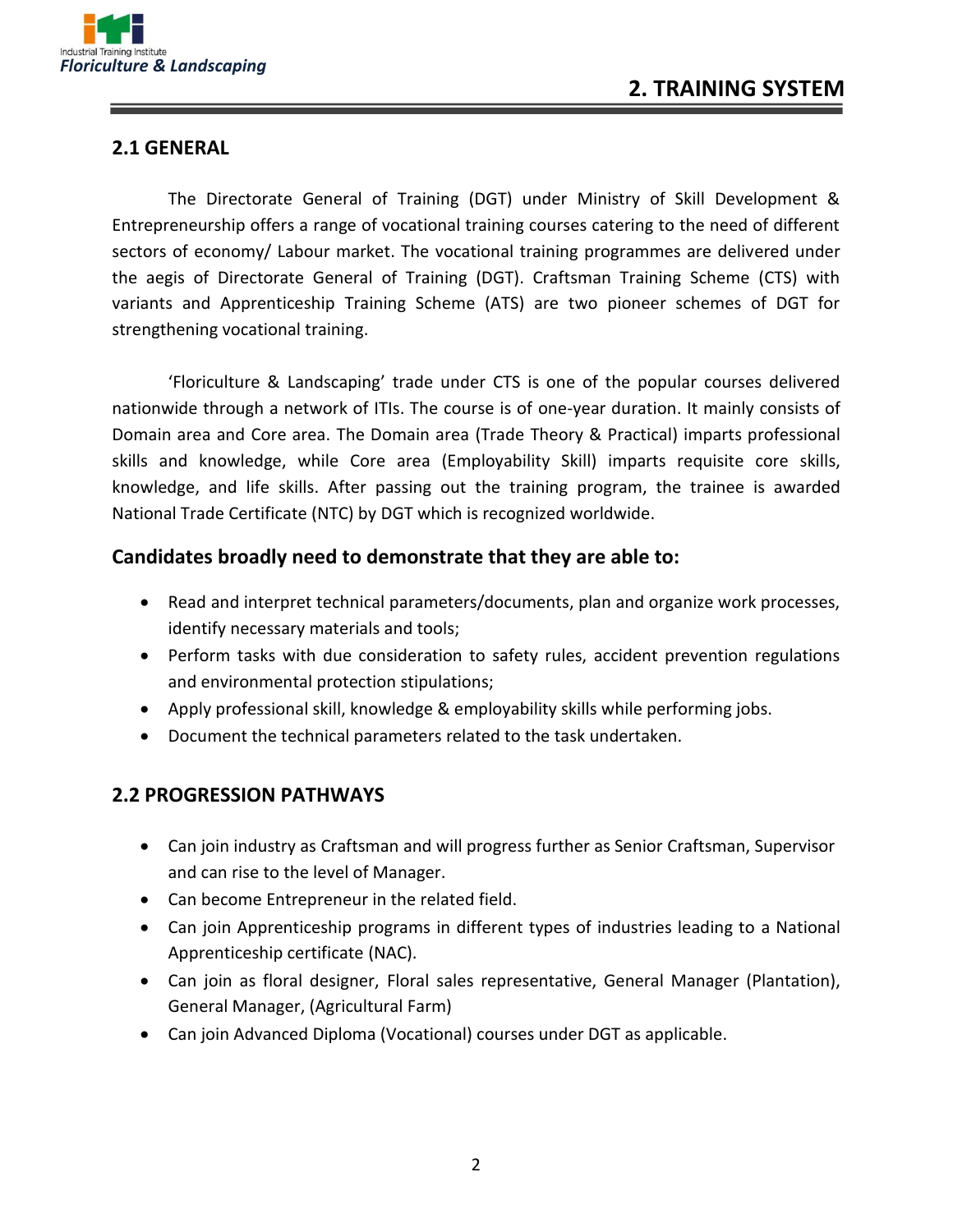

#### **2.1 GENERAL**

The Directorate General of Training (DGT) under Ministry of Skill Development & Entrepreneurship offers a range of vocational training courses catering to the need of different sectors of economy/ Labour market. The vocational training programmes are delivered under the aegis of Directorate General of Training (DGT). Craftsman Training Scheme (CTS) with variants and Apprenticeship Training Scheme (ATS) are two pioneer schemes of DGT for strengthening vocational training.

'Floriculture & Landscaping' trade under CTS is one of the popular courses delivered nationwide through a network of ITIs. The course is of one-year duration. It mainly consists of Domain area and Core area. The Domain area (Trade Theory & Practical) imparts professional skills and knowledge, while Core area (Employability Skill) imparts requisite core skills, knowledge, and life skills. After passing out the training program, the trainee is awarded National Trade Certificate (NTC) by DGT which is recognized worldwide.

#### **Candidates broadly need to demonstrate that they are able to:**

- Read and interpret technical parameters/documents, plan and organize work processes, identify necessary materials and tools;
- Perform tasks with due consideration to safety rules, accident prevention regulations and environmental protection stipulations;
- Apply professional skill, knowledge & employability skills while performing jobs.
- Document the technical parameters related to the task undertaken.

#### **2.2 PROGRESSION PATHWAYS**

- Can join industry as Craftsman and will progress further as Senior Craftsman, Supervisor and can rise to the level of Manager.
- Can become Entrepreneur in the related field.
- Can join Apprenticeship programs in different types of industries leading to a National Apprenticeship certificate (NAC).
- Can join as floral designer, Floral sales representative, General Manager (Plantation), General Manager, (Agricultural Farm)
- Can join Advanced Diploma (Vocational) courses under DGT as applicable.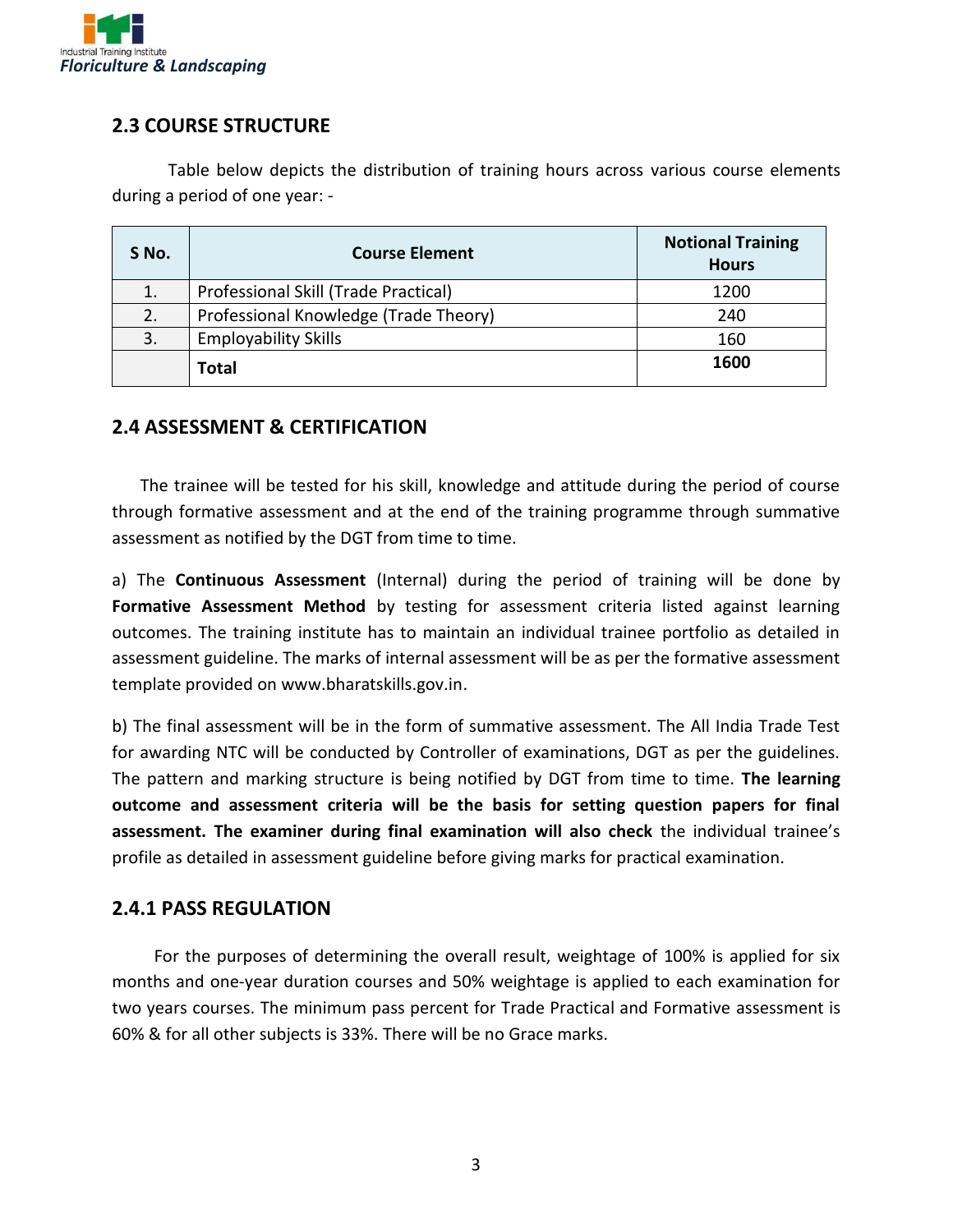

#### **2.3 COURSE STRUCTURE**

Table below depicts the distribution of training hours across various course elements during a period of one year: -

| S No. | <b>Course Element</b>                 | <b>Notional Training</b><br><b>Hours</b> |
|-------|---------------------------------------|------------------------------------------|
| 1.    | Professional Skill (Trade Practical)  | 1200                                     |
| 2.    | Professional Knowledge (Trade Theory) | 240                                      |
| 3.    | <b>Employability Skills</b>           | 160                                      |
|       | <b>Total</b>                          | 1600                                     |

#### **2.4 ASSESSMENT & CERTIFICATION**

The trainee will be tested for his skill, knowledge and attitude during the period of course through formative assessment and at the end of the training programme through summative assessment as notified by the DGT from time to time.

a) The **Continuous Assessment** (Internal) during the period of training will be done by Formative Assessment Method by testing for assessment criteria listed against learning outcomes. The training institute has to maintain an individual trainee portfolio as detailed in assessment guideline. The marks of internal assessment will be as per the formative assessment template provided on www.bharatskills.gov.in.

b) The final assessment will be in the form of summative assessment. The All India Trade Test for awarding NTC will be conducted by Controller of examinations, DGT as per the guidelines. The pattern and marking structure is being notified by DGT from time to time. **The learning outcome and assessment criteria will be the basis for setting question papers for final assessment. The examiner during final examination will also check** the individual trainee's profile as detailed in assessment guideline before giving marks for practical examination.

#### **2.4.1 PASS REGULATION**

For the purposes of determining the overall result, weightage of 100% is applied for six months and one-year duration courses and 50% weightage is applied to each examination for two years courses. The minimum pass percent for Trade Practical and Formative assessment is 60% & for all other subjects is 33%. There will be no Grace marks.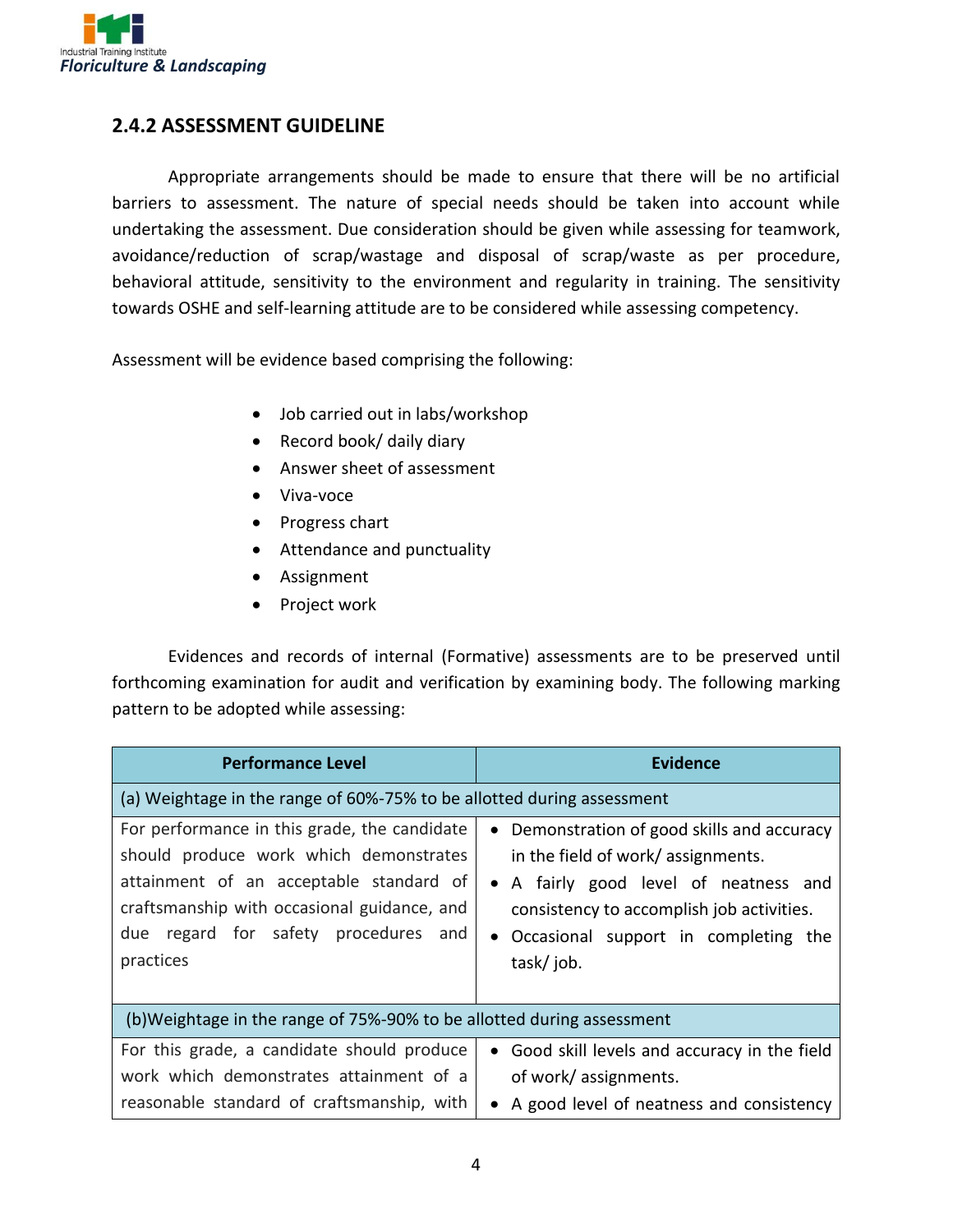

#### **2.4.2 ASSESSMENT GUIDELINE**

Appropriate arrangements should be made to ensure that there will be no artificial barriers to assessment. The nature of special needs should be taken into account while undertaking the assessment. Due consideration should be given while assessing for teamwork, avoidance/reduction of scrap/wastage and disposal of scrap/waste as per procedure, behavioral attitude, sensitivity to the environment and regularity in training. The sensitivity towards OSHE and self-learning attitude are to be considered while assessing competency.

Assessment will be evidence based comprising the following:

- Job carried out in labs/workshop
- Record book/ daily diary
- Answer sheet of assessment
- Viva-voce
- Progress chart
- Attendance and punctuality
- Assignment
- Project work

Evidences and records of internal (Formative) assessments are to be preserved until forthcoming examination for audit and verification by examining body. The following marking pattern to be adopted while assessing:

| <b>Performance Level</b>                                                                                                                                                                                                              | <b>Evidence</b>                                                                                                                                                                                                                           |
|---------------------------------------------------------------------------------------------------------------------------------------------------------------------------------------------------------------------------------------|-------------------------------------------------------------------------------------------------------------------------------------------------------------------------------------------------------------------------------------------|
| (a) Weightage in the range of 60%-75% to be allotted during assessment                                                                                                                                                                |                                                                                                                                                                                                                                           |
| For performance in this grade, the candidate<br>should produce work which demonstrates<br>attainment of an acceptable standard of<br>craftsmanship with occasional guidance, and<br>due regard for safety procedures and<br>practices | Demonstration of good skills and accuracy<br>$\bullet$<br>in the field of work/ assignments.<br>• A fairly good level of neatness and<br>consistency to accomplish job activities.<br>• Occasional support in completing the<br>task/job. |
| (b) Weightage in the range of 75%-90% to be allotted during assessment                                                                                                                                                                |                                                                                                                                                                                                                                           |
| For this grade, a candidate should produce<br>work which demonstrates attainment of a<br>reasonable standard of craftsmanship, with                                                                                                   | • Good skill levels and accuracy in the field<br>of work/ assignments.<br>• A good level of neatness and consistency                                                                                                                      |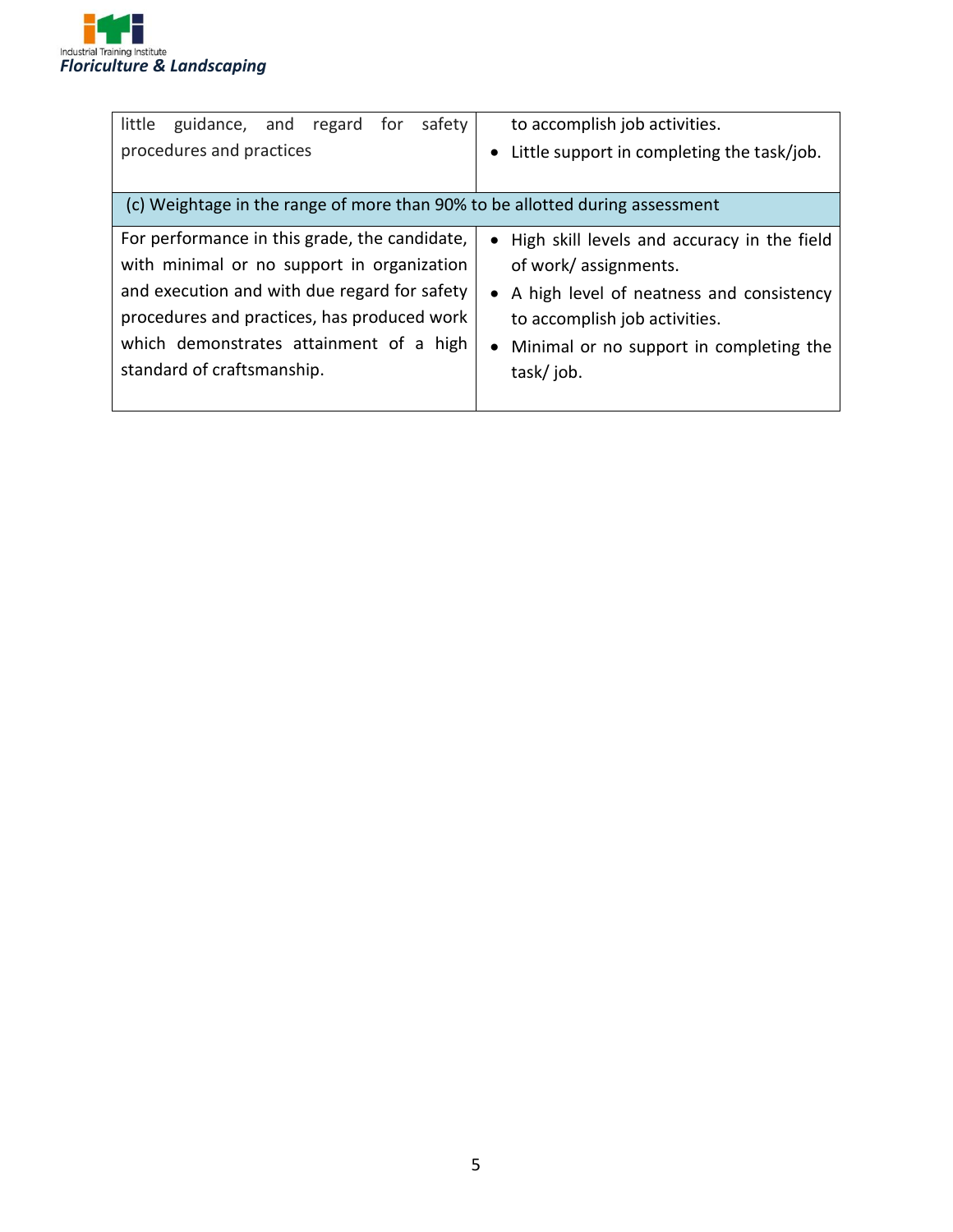

| little<br>safety<br>guidance, and<br>regard<br>for<br>procedures and practices                                                                                                                                                                                      | to accomplish job activities.<br>Little support in completing the task/job.                                                                                                                                                |
|---------------------------------------------------------------------------------------------------------------------------------------------------------------------------------------------------------------------------------------------------------------------|----------------------------------------------------------------------------------------------------------------------------------------------------------------------------------------------------------------------------|
| (c) Weightage in the range of more than 90% to be allotted during assessment                                                                                                                                                                                        |                                                                                                                                                                                                                            |
| For performance in this grade, the candidate,<br>with minimal or no support in organization<br>and execution and with due regard for safety<br>procedures and practices, has produced work<br>which demonstrates attainment of a high<br>standard of craftsmanship. | • High skill levels and accuracy in the field<br>of work/ assignments.<br>• A high level of neatness and consistency<br>to accomplish job activities.<br>Minimal or no support in completing the<br>$\bullet$<br>task/job. |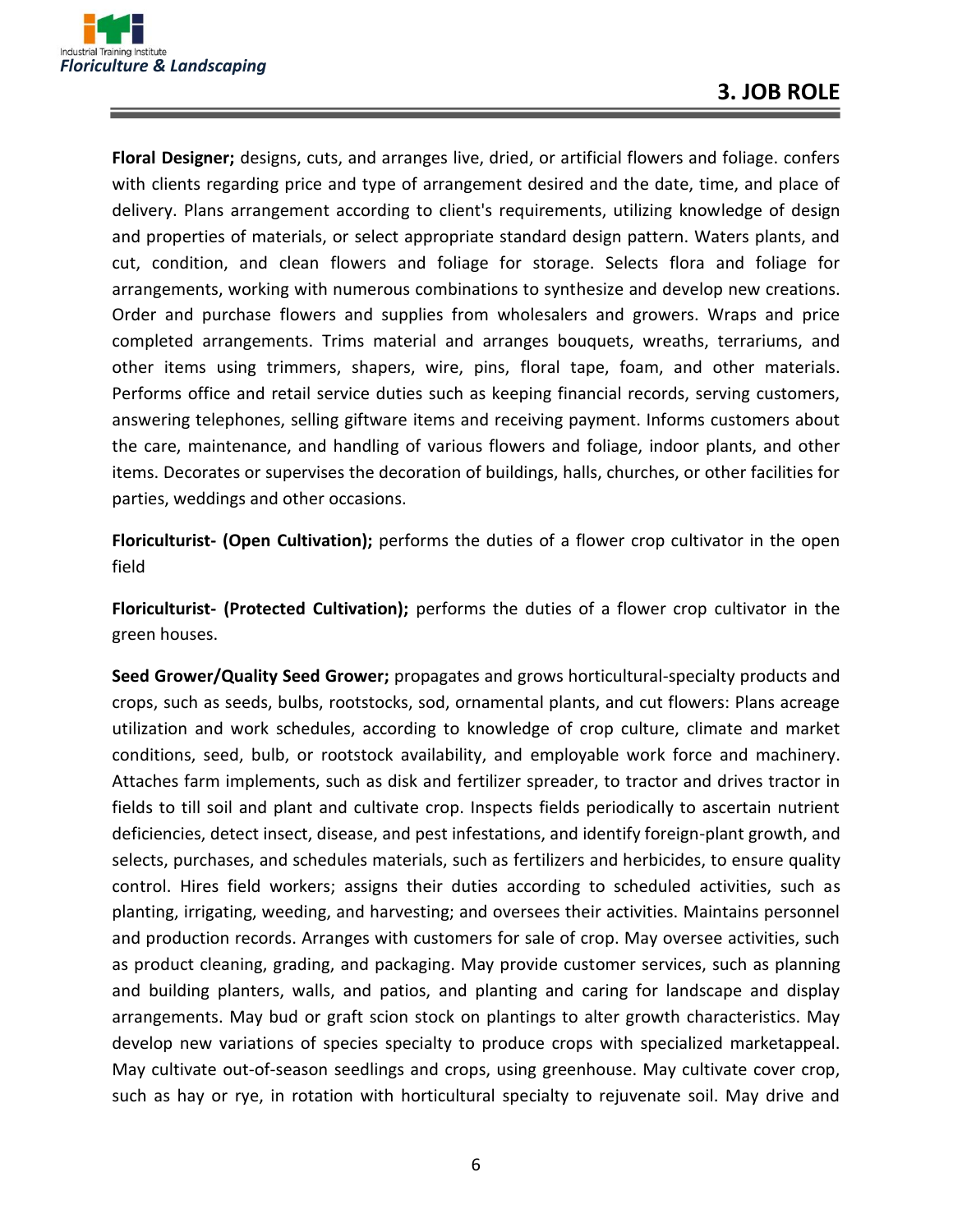

**Floral Designer;** designs, cuts, and arranges live, dried, or artificial flowers and foliage. confers with clients regarding price and type of arrangement desired and the date, time, and place of delivery. Plans arrangement according to client's requirements, utilizing knowledge of design and properties of materials, or select appropriate standard design pattern. Waters plants, and cut, condition, and clean flowers and foliage for storage. Selects flora and foliage for arrangements, working with numerous combinations to synthesize and develop new creations. Order and purchase flowers and supplies from wholesalers and growers. Wraps and price completed arrangements. Trims material and arranges bouquets, wreaths, terrariums, and other items using trimmers, shapers, wire, pins, floral tape, foam, and other materials. Performs office and retail service duties such as keeping financial records, serving customers, answering telephones, selling giftware items and receiving payment. Informs customers about the care, maintenance, and handling of various flowers and foliage, indoor plants, and other items. Decorates or supervises the decoration of buildings, halls, churches, or other facilities for parties, weddings and other occasions.

**Floriculturist- (Open Cultivation);** performs the duties of a flower crop cultivator in the open field

**Floriculturist- (Protected Cultivation);** performs the duties of a flower crop cultivator in the green houses.

**Seed Grower/Quality Seed Grower;** propagates and grows horticultural-specialty products and crops, such as seeds, bulbs, rootstocks, sod, ornamental plants, and cut flowers: Plans acreage utilization and work schedules, according to knowledge of crop culture, climate and market conditions, seed, bulb, or rootstock availability, and employable work force and machinery. Attaches farm implements, such as disk and fertilizer spreader, to tractor and drives tractor in fields to till soil and plant and cultivate crop. Inspects fields periodically to ascertain nutrient deficiencies, detect insect, disease, and pest infestations, and identify foreign-plant growth, and selects, purchases, and schedules materials, such as fertilizers and herbicides, to ensure quality control. Hires field workers; assigns their duties according to scheduled activities, such as planting, irrigating, weeding, and harvesting; and oversees their activities. Maintains personnel and production records. Arranges with customers for sale of crop. May oversee activities, such as product cleaning, grading, and packaging. May provide customer services, such as planning and building planters, walls, and patios, and planting and caring for landscape and display arrangements. May bud or graft scion stock on plantings to alter growth characteristics. May develop new variations of species specialty to produce crops with specialized marketappeal. May cultivate out-of-season seedlings and crops, using greenhouse. May cultivate cover crop, such as hay or rye, in rotation with horticultural specialty to rejuvenate soil. May drive and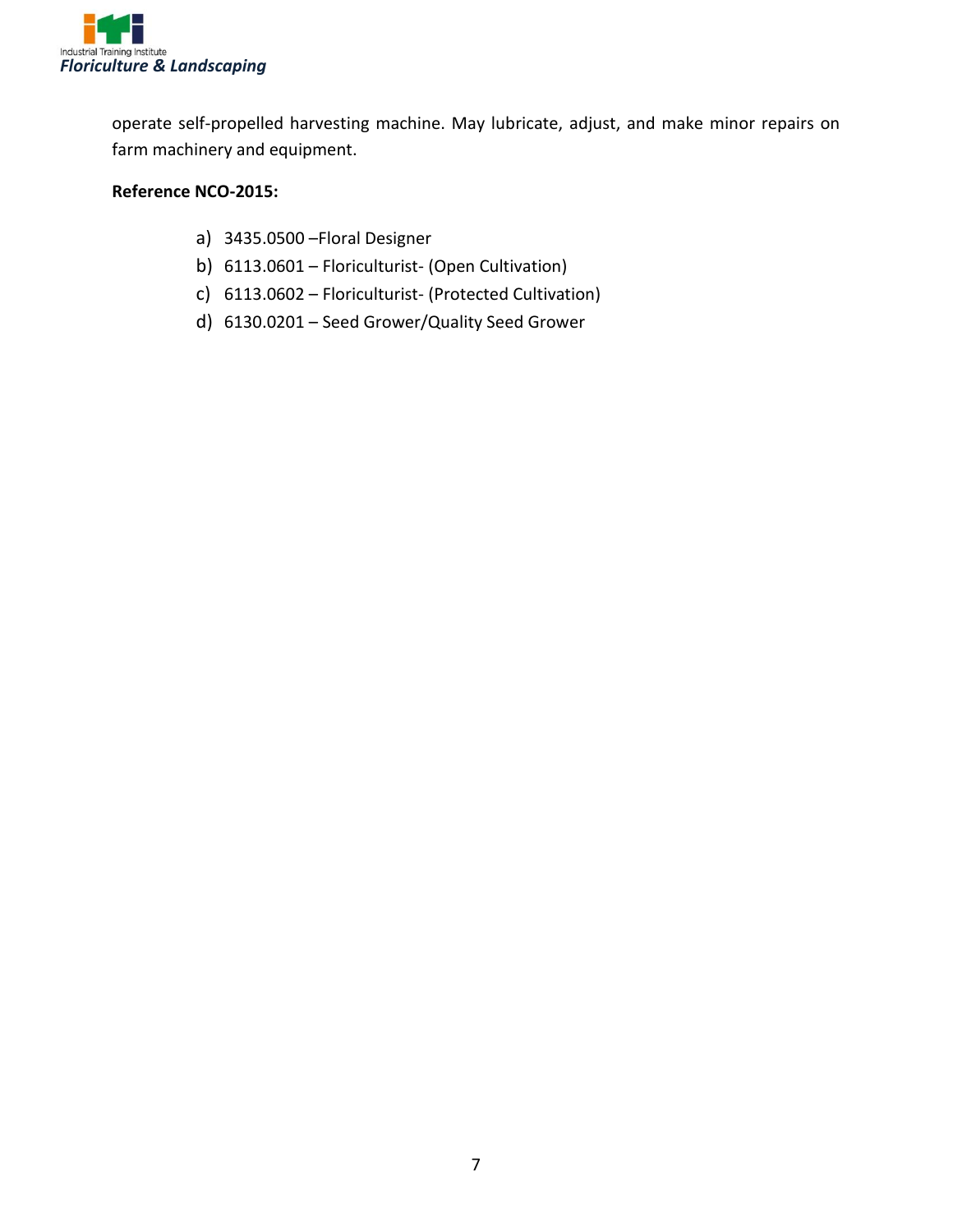

operate self-propelled harvesting machine. May lubricate, adjust, and make minor repairs on farm machinery and equipment.

#### **Reference NCO-2015:**

- a) 3435.0500 –Floral Designer
- b) 6113.0601 Floriculturist- (Open Cultivation)
- c) 6113.0602 Floriculturist- (Protected Cultivation)
- d) 6130.0201 Seed Grower/Quality Seed Grower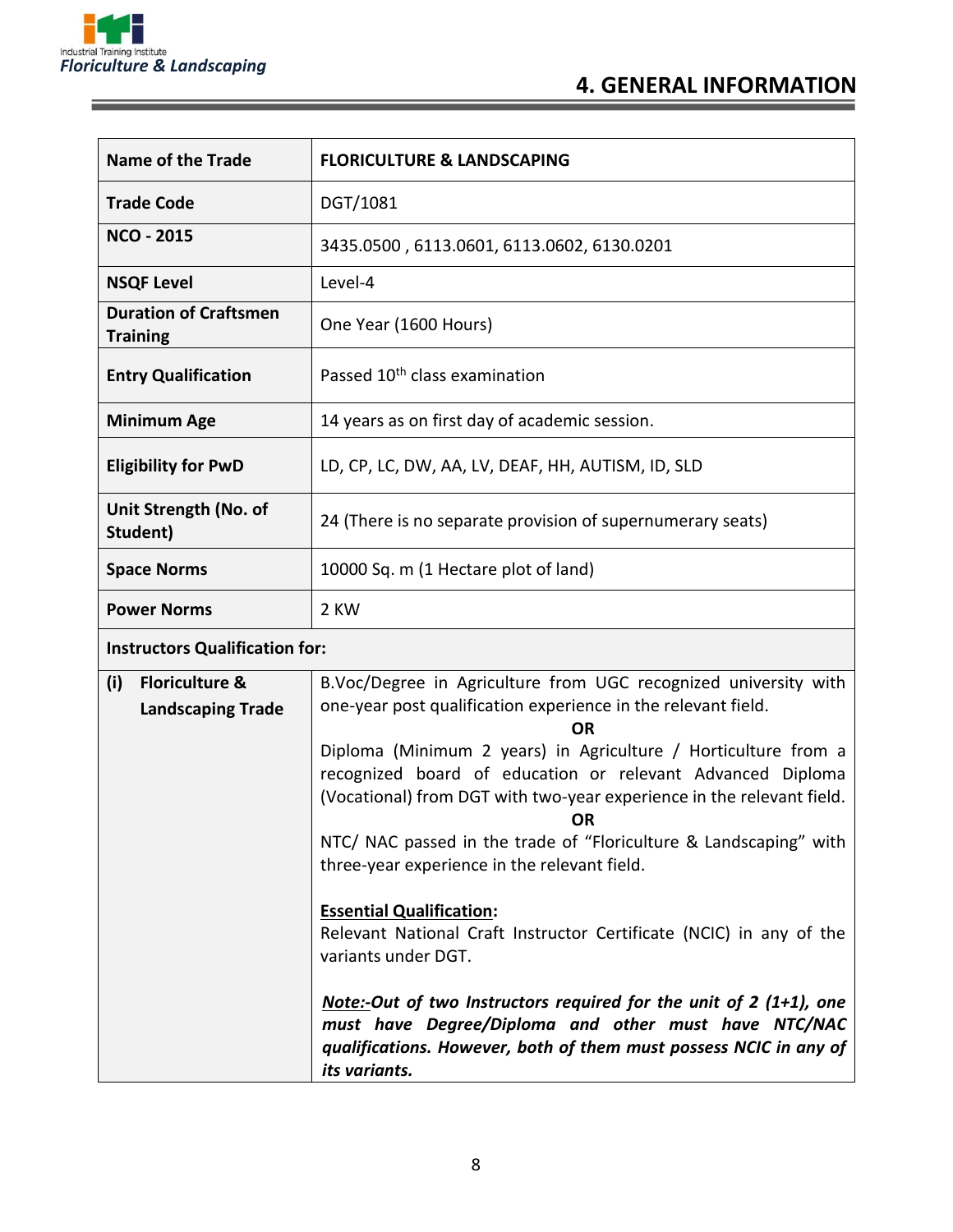

and the control of the control of the control of the control of the control of the control of

| <b>Name of the Trade</b>                        | <b>FLORICULTURE &amp; LANDSCAPING</b>                      |  |
|-------------------------------------------------|------------------------------------------------------------|--|
| <b>Trade Code</b>                               | DGT/1081                                                   |  |
| <b>NCO - 2015</b>                               | 3435.0500, 6113.0601, 6113.0602, 6130.0201                 |  |
| <b>NSQF Level</b>                               | Level-4                                                    |  |
| <b>Duration of Craftsmen</b><br><b>Training</b> | One Year (1600 Hours)                                      |  |
| <b>Entry Qualification</b>                      | Passed 10 <sup>th</sup> class examination                  |  |
| <b>Minimum Age</b>                              | 14 years as on first day of academic session.              |  |
| <b>Eligibility for PwD</b>                      | LD, CP, LC, DW, AA, LV, DEAF, HH, AUTISM, ID, SLD          |  |
| Unit Strength (No. of<br>Student)               | 24 (There is no separate provision of supernumerary seats) |  |
| <b>Space Norms</b>                              | 10000 Sq. m (1 Hectare plot of land)                       |  |
| <b>Power Norms</b>                              | 2 KW                                                       |  |
| <b>Instructors Qualification for:</b>           |                                                            |  |

| (i) | <b>Floriculture &amp;</b> | B.Voc/Degree in Agriculture from UGC recognized university with                                                                                                                                                    |  |  |
|-----|---------------------------|--------------------------------------------------------------------------------------------------------------------------------------------------------------------------------------------------------------------|--|--|
|     | <b>Landscaping Trade</b>  | one-year post qualification experience in the relevant field.                                                                                                                                                      |  |  |
|     |                           | <b>OR</b>                                                                                                                                                                                                          |  |  |
|     |                           | Diploma (Minimum 2 years) in Agriculture / Horticulture from a<br>recognized board of education or relevant Advanced Diploma<br>(Vocational) from DGT with two-year experience in the relevant field.              |  |  |
|     |                           | OR                                                                                                                                                                                                                 |  |  |
|     |                           | NTC/ NAC passed in the trade of "Floriculture & Landscaping" with<br>three-year experience in the relevant field.                                                                                                  |  |  |
|     |                           |                                                                                                                                                                                                                    |  |  |
|     |                           | <b>Essential Qualification:</b>                                                                                                                                                                                    |  |  |
|     |                           | Relevant National Craft Instructor Certificate (NCIC) in any of the                                                                                                                                                |  |  |
|     |                           | variants under DGT.                                                                                                                                                                                                |  |  |
|     |                           |                                                                                                                                                                                                                    |  |  |
|     |                           | Note:-Out of two Instructors required for the unit of $2(1+1)$ , one<br>must have Degree/Diploma and other must have NTC/NAC<br>qualifications. However, both of them must possess NCIC in any of<br>its variants. |  |  |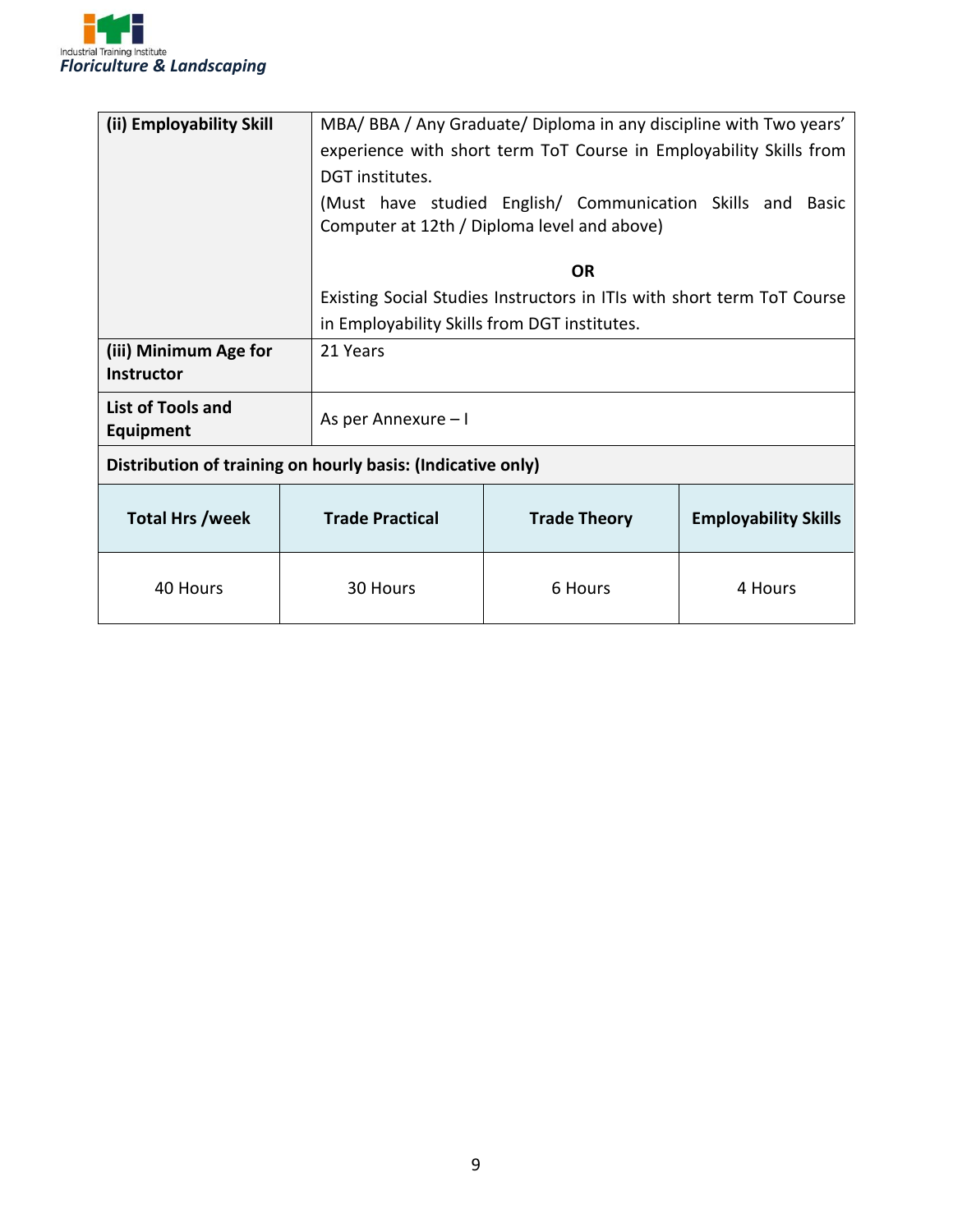

| (ii) Employability Skill              |                        | MBA/BBA/Any Graduate/Diploma in any discipline with Two years'         |                             |  |
|---------------------------------------|------------------------|------------------------------------------------------------------------|-----------------------------|--|
|                                       |                        | experience with short term ToT Course in Employability Skills from     |                             |  |
|                                       | DGT institutes.        |                                                                        |                             |  |
|                                       |                        | (Must have studied English/ Communication Skills and Basic             |                             |  |
|                                       |                        | Computer at 12th / Diploma level and above)                            |                             |  |
|                                       |                        |                                                                        |                             |  |
|                                       |                        | <b>OR</b>                                                              |                             |  |
|                                       |                        | Existing Social Studies Instructors in ITIs with short term ToT Course |                             |  |
|                                       |                        | in Employability Skills from DGT institutes.                           |                             |  |
| (iii) Minimum Age for                 |                        | 21 Years                                                               |                             |  |
| <b>Instructor</b>                     |                        |                                                                        |                             |  |
| List of Tools and<br><b>Equipment</b> | As per Annexure - I    |                                                                        |                             |  |
|                                       |                        | Distribution of training on hourly basis: (Indicative only)            |                             |  |
| <b>Total Hrs /week</b>                | <b>Trade Practical</b> | <b>Trade Theory</b>                                                    | <b>Employability Skills</b> |  |
| 40 Hours                              | 30 Hours               | 6 Hours                                                                | 4 Hours                     |  |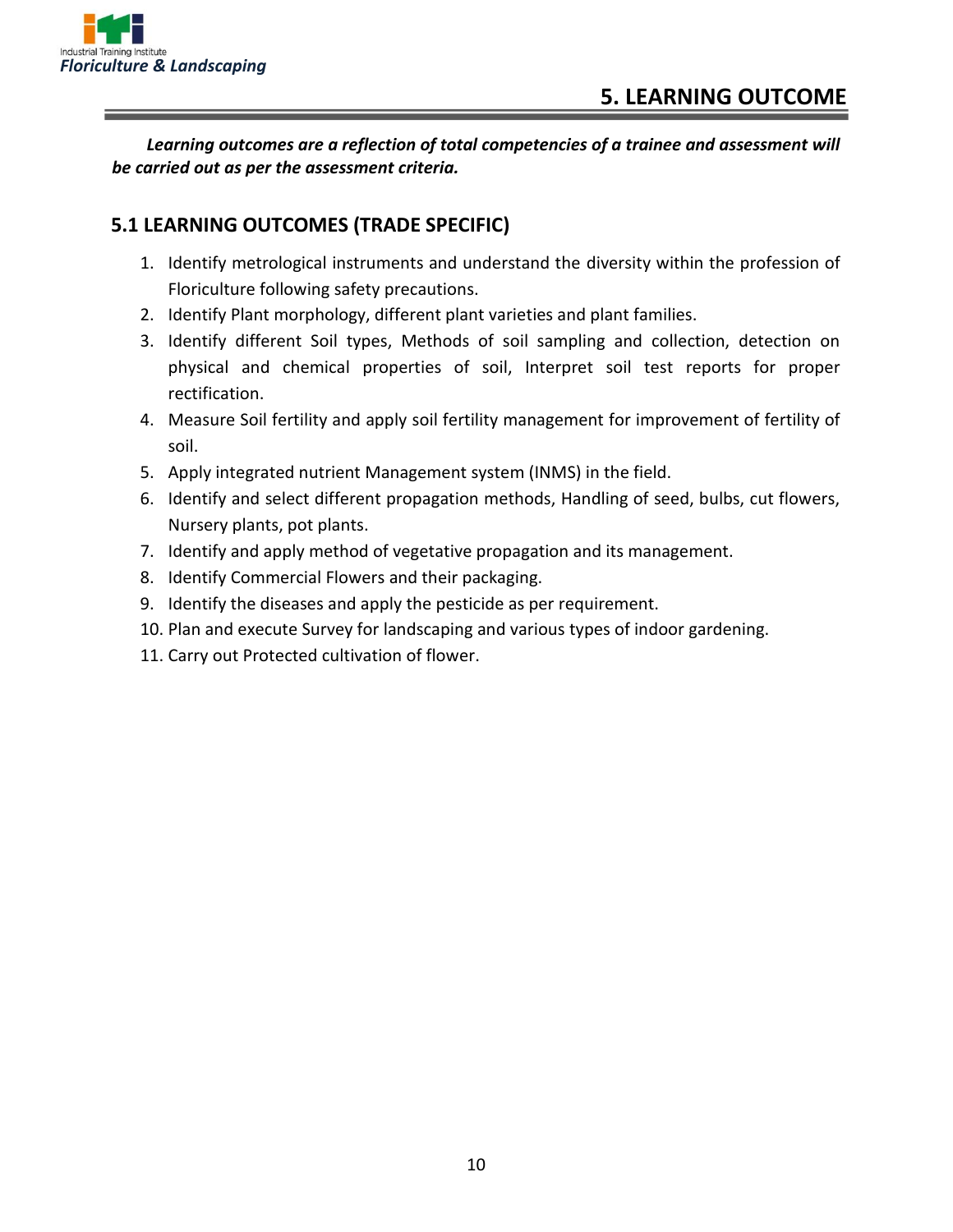

*Learning outcomes are a reflection of total competencies of a trainee and assessment will be carried out as per the assessment criteria.*

#### **5.1 LEARNING OUTCOMES (TRADE SPECIFIC)**

- 1. Identify metrological instruments and understand the diversity within the profession of Floriculture following safety precautions.
- 2. Identify Plant morphology, different plant varieties and plant families.
- 3. Identify different Soil types, Methods of soil sampling and collection, detection on physical and chemical properties of soil, Interpret soil test reports for proper rectification.
- 4. Measure Soil fertility and apply soil fertility management for improvement of fertility of soil.
- 5. Apply integrated nutrient Management system (INMS) in the field.
- 6. Identify and select different propagation methods, Handling of seed, bulbs, cut flowers, Nursery plants, pot plants.
- 7. Identify and apply method of vegetative propagation and its management.
- 8. Identify Commercial Flowers and their packaging.
- 9. Identify the diseases and apply the pesticide as per requirement.
- 10. Plan and execute Survey for landscaping and various types of indoor gardening.
- 11. Carry out Protected cultivation of flower.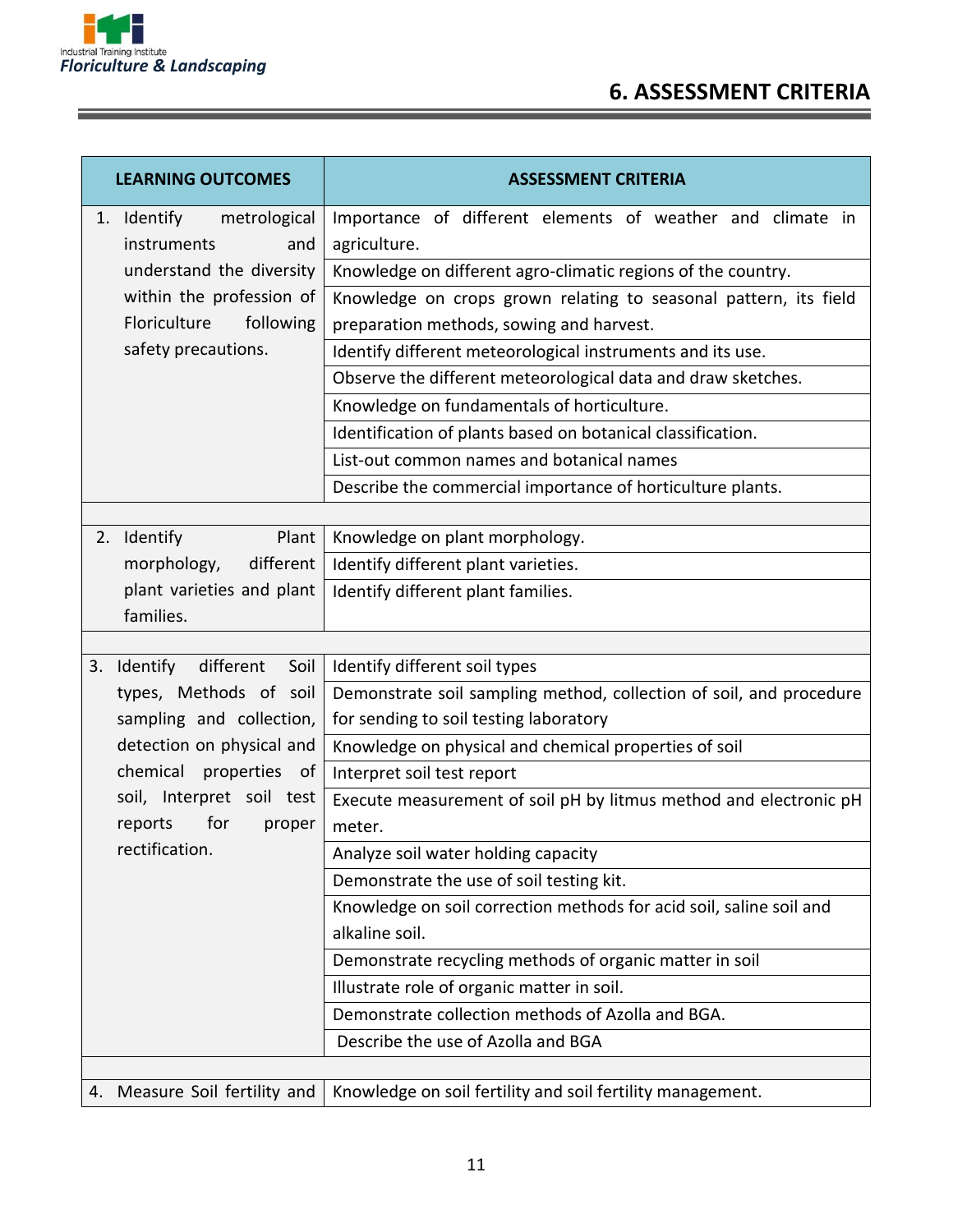

Ξ

| <b>LEARNING OUTCOMES</b>                          | <b>ASSESSMENT CRITERIA</b>                                                                                    |
|---------------------------------------------------|---------------------------------------------------------------------------------------------------------------|
| 1. Identify<br>metrological<br>instruments<br>and | Importance of different elements of weather and climate in<br>agriculture.                                    |
| understand the diversity                          | Knowledge on different agro-climatic regions of the country.                                                  |
| within the profession of                          | Knowledge on crops grown relating to seasonal pattern, its field                                              |
| Floriculture<br>following                         | preparation methods, sowing and harvest.                                                                      |
| safety precautions.                               | Identify different meteorological instruments and its use.                                                    |
|                                                   | Observe the different meteorological data and draw sketches.                                                  |
|                                                   | Knowledge on fundamentals of horticulture.                                                                    |
|                                                   | Identification of plants based on botanical classification.                                                   |
|                                                   | List-out common names and botanical names                                                                     |
|                                                   | Describe the commercial importance of horticulture plants.                                                    |
|                                                   |                                                                                                               |
| 2. Identify<br>Plant                              | Knowledge on plant morphology.                                                                                |
| morphology,<br>different                          | Identify different plant varieties.                                                                           |
| plant varieties and plant                         | Identify different plant families.                                                                            |
| families.                                         |                                                                                                               |
| Soil<br>different                                 |                                                                                                               |
| 3. Identify<br>types, Methods of soil             | Identify different soil types                                                                                 |
| sampling and collection,                          | Demonstrate soil sampling method, collection of soil, and procedure<br>for sending to soil testing laboratory |
| detection on physical and                         | Knowledge on physical and chemical properties of soil                                                         |
| chemical<br>properties<br>of                      | Interpret soil test report                                                                                    |
| soil, Interpret soil test                         | Execute measurement of soil pH by litmus method and electronic pH                                             |
| for<br>reports<br>proper                          | meter.                                                                                                        |
| rectification.                                    | Analyze soil water holding capacity                                                                           |
|                                                   | Demonstrate the use of soil testing kit.                                                                      |
|                                                   | Knowledge on soil correction methods for acid soil, saline soil and                                           |
|                                                   | alkaline soil.                                                                                                |
|                                                   | Demonstrate recycling methods of organic matter in soil                                                       |
|                                                   | Illustrate role of organic matter in soil.                                                                    |
|                                                   | Demonstrate collection methods of Azolla and BGA.                                                             |
|                                                   | Describe the use of Azolla and BGA                                                                            |
|                                                   |                                                                                                               |
| 4. Measure Soil fertility and                     | Knowledge on soil fertility and soil fertility management.                                                    |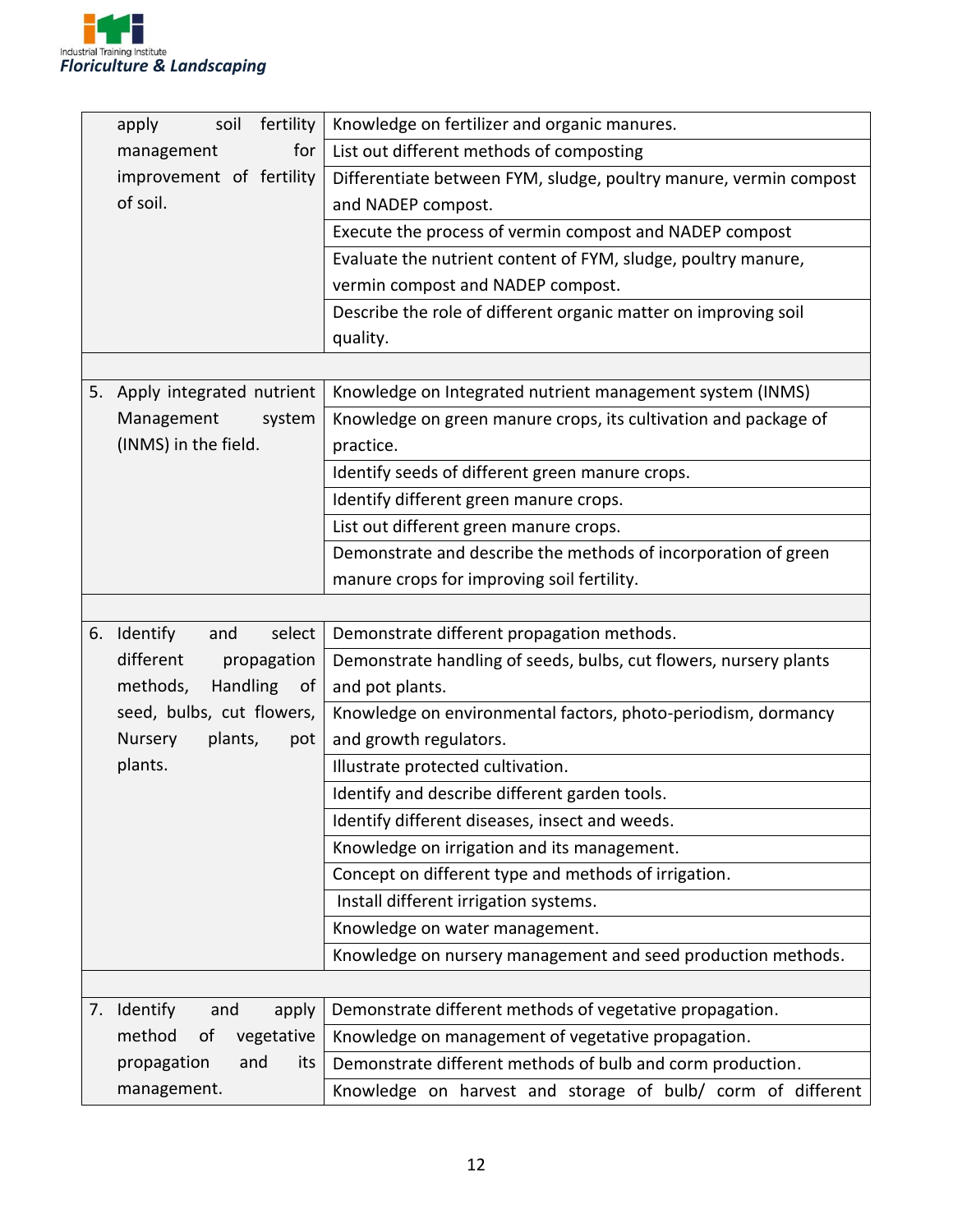

|                           | fertility<br>apply<br>soil   | Knowledge on fertilizer and organic manures.                      |  |
|---------------------------|------------------------------|-------------------------------------------------------------------|--|
|                           | for<br>management            | List out different methods of composting                          |  |
|                           | improvement of fertility     | Differentiate between FYM, sludge, poultry manure, vermin compost |  |
|                           | of soil.                     | and NADEP compost.                                                |  |
|                           |                              | Execute the process of vermin compost and NADEP compost           |  |
|                           |                              | Evaluate the nutrient content of FYM, sludge, poultry manure,     |  |
|                           |                              | vermin compost and NADEP compost.                                 |  |
|                           |                              | Describe the role of different organic matter on improving soil   |  |
|                           |                              | quality.                                                          |  |
|                           |                              |                                                                   |  |
|                           | 5. Apply integrated nutrient | Knowledge on Integrated nutrient management system (INMS)         |  |
|                           | Management<br>system         | Knowledge on green manure crops, its cultivation and package of   |  |
|                           | (INMS) in the field.         | practice.                                                         |  |
|                           |                              | Identify seeds of different green manure crops.                   |  |
|                           |                              | Identify different green manure crops.                            |  |
|                           |                              | List out different green manure crops.                            |  |
|                           |                              | Demonstrate and describe the methods of incorporation of green    |  |
|                           |                              | manure crops for improving soil fertility.                        |  |
|                           |                              |                                                                   |  |
| 6.                        | Identify<br>select<br>and    | Demonstrate different propagation methods.                        |  |
|                           | different<br>propagation     | Demonstrate handling of seeds, bulbs, cut flowers, nursery plants |  |
|                           | methods,<br>Handling<br>of   | and pot plants.                                                   |  |
|                           | seed, bulbs, cut flowers,    | Knowledge on environmental factors, photo-periodism, dormancy     |  |
|                           | Nursery<br>plants,<br>pot    | and growth regulators.                                            |  |
|                           | plants.                      | Illustrate protected cultivation.                                 |  |
|                           |                              | Identify and describe different garden tools.                     |  |
|                           |                              | Identify different diseases, insect and weeds.                    |  |
|                           |                              | Knowledge on irrigation and its management.                       |  |
|                           |                              | Concept on different type and methods of irrigation.              |  |
|                           |                              | Install different irrigation systems.                             |  |
|                           |                              | Knowledge on water management.                                    |  |
|                           |                              | Knowledge on nursery management and seed production methods.      |  |
|                           |                              |                                                                   |  |
|                           | 7. Identify<br>and<br>apply  | Demonstrate different methods of vegetative propagation.          |  |
|                           | method<br>of<br>vegetative   | Knowledge on management of vegetative propagation.                |  |
| propagation<br>and<br>its |                              | Demonstrate different methods of bulb and corm production.        |  |
| management.               |                              | Knowledge on harvest and storage of bulb/ corm of different       |  |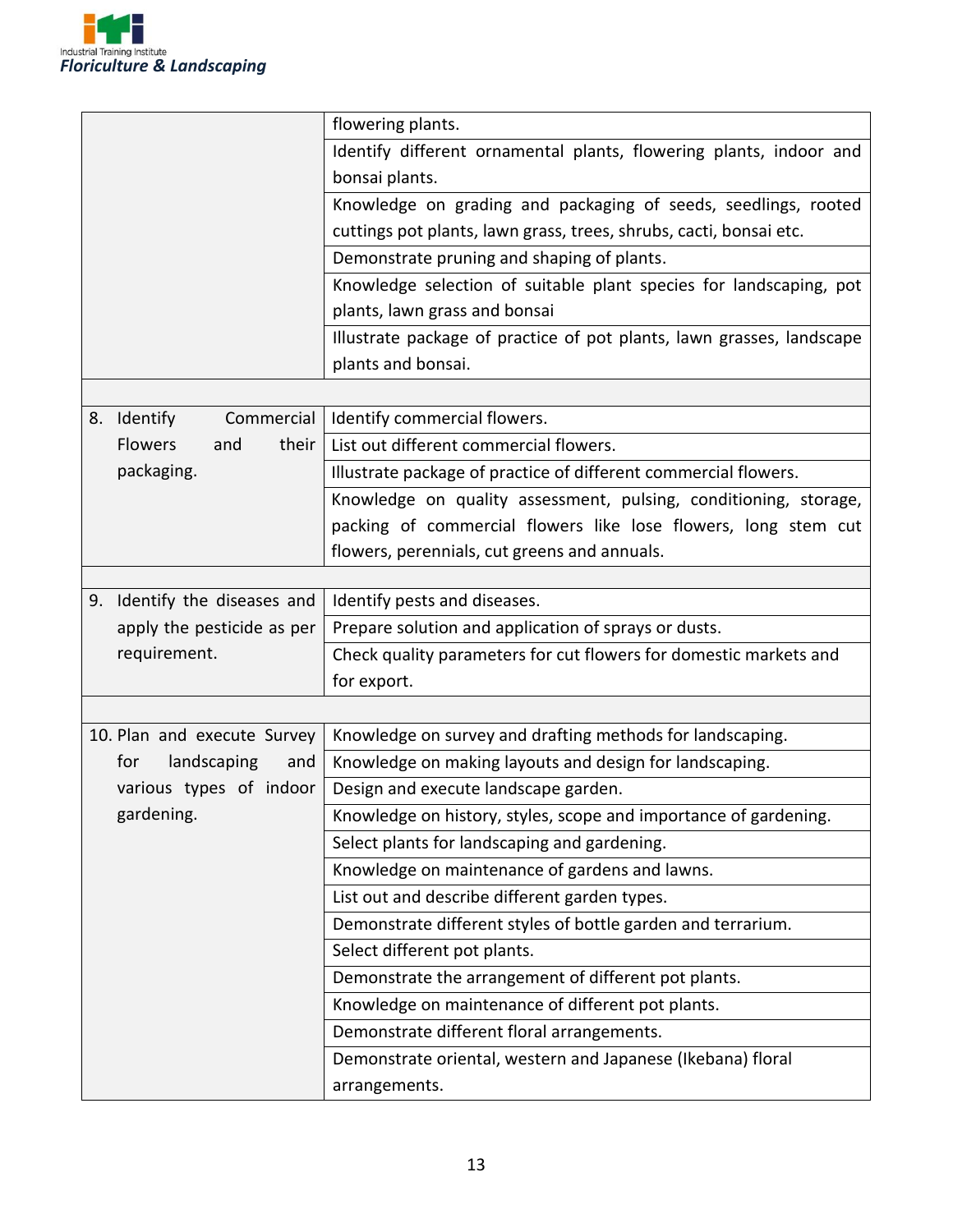

|                                | flowering plants.                                                     |  |
|--------------------------------|-----------------------------------------------------------------------|--|
|                                | Identify different ornamental plants, flowering plants, indoor and    |  |
|                                | bonsai plants.                                                        |  |
|                                | Knowledge on grading and packaging of seeds, seedlings, rooted        |  |
|                                | cuttings pot plants, lawn grass, trees, shrubs, cacti, bonsai etc.    |  |
|                                | Demonstrate pruning and shaping of plants.                            |  |
|                                | Knowledge selection of suitable plant species for landscaping, pot    |  |
|                                | plants, lawn grass and bonsai                                         |  |
|                                | Illustrate package of practice of pot plants, lawn grasses, landscape |  |
|                                | plants and bonsai.                                                    |  |
|                                |                                                                       |  |
| Identify<br>Commercial<br>8.   | Identify commercial flowers.                                          |  |
| <b>Flowers</b><br>and<br>their | List out different commercial flowers.                                |  |
| packaging.                     | Illustrate package of practice of different commercial flowers.       |  |
|                                | Knowledge on quality assessment, pulsing, conditioning, storage,      |  |
|                                | packing of commercial flowers like lose flowers, long stem cut        |  |
|                                | flowers, perennials, cut greens and annuals.                          |  |
|                                |                                                                       |  |
| 9. Identify the diseases and   | Identify pests and diseases.                                          |  |
| apply the pesticide as per     | Prepare solution and application of sprays or dusts.                  |  |
| requirement.                   | Check quality parameters for cut flowers for domestic markets and     |  |
|                                | for export.                                                           |  |
|                                |                                                                       |  |
| 10. Plan and execute Survey    | Knowledge on survey and drafting methods for landscaping.             |  |
| landscaping<br>for<br>and      | Knowledge on making layouts and design for landscaping.               |  |
| various types of indoor        | Design and execute landscape garden.                                  |  |
| gardening.                     | Knowledge on history, styles, scope and importance of gardening.      |  |
|                                | Select plants for landscaping and gardening.                          |  |
|                                | Knowledge on maintenance of gardens and lawns.                        |  |
|                                | List out and describe different garden types.                         |  |
|                                | Demonstrate different styles of bottle garden and terrarium.          |  |
|                                | Select different pot plants.                                          |  |
|                                | Demonstrate the arrangement of different pot plants.                  |  |
|                                | Knowledge on maintenance of different pot plants.                     |  |
|                                | Demonstrate different floral arrangements.                            |  |
|                                | Demonstrate oriental, western and Japanese (Ikebana) floral           |  |
|                                | arrangements.                                                         |  |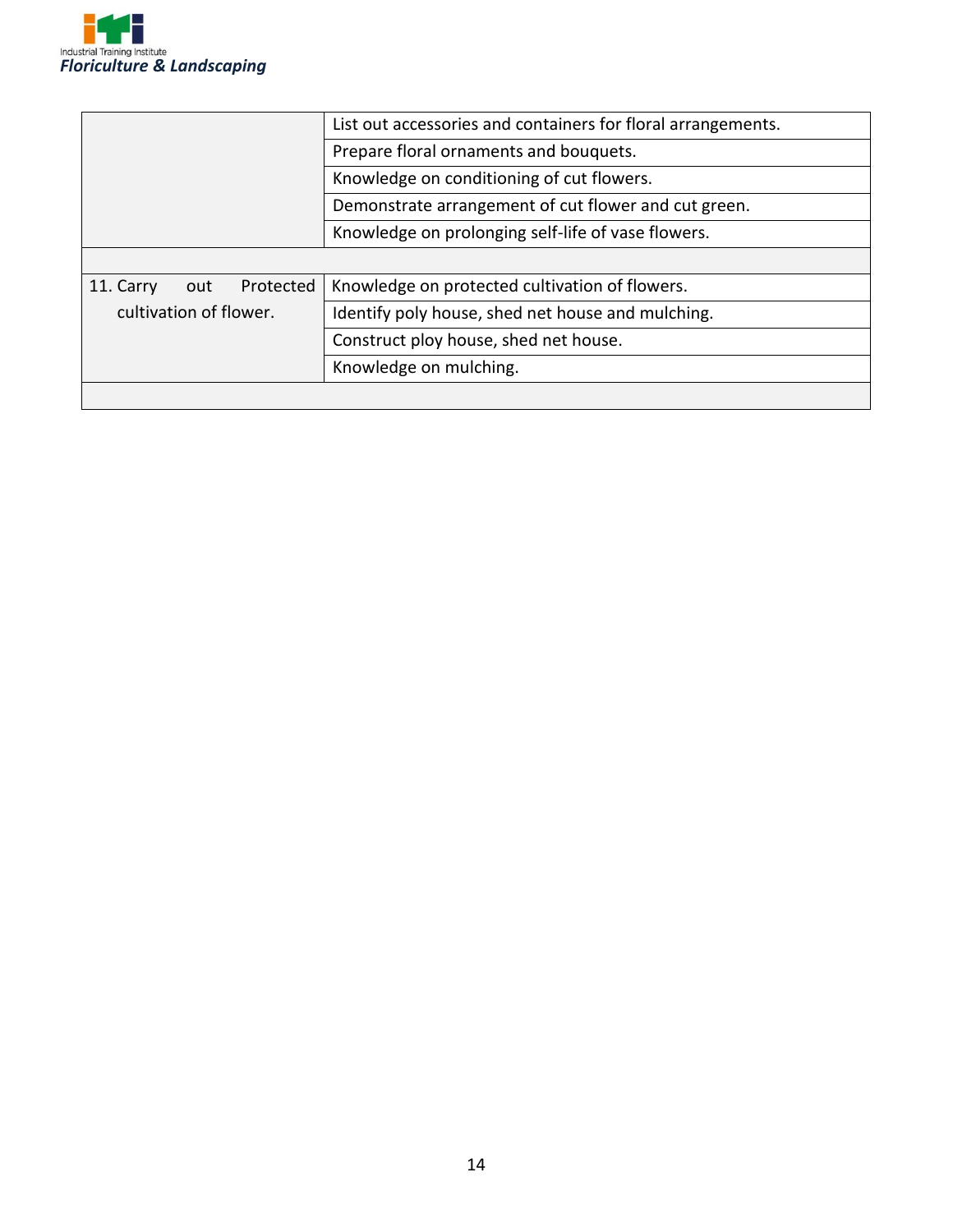

|                               | List out accessories and containers for floral arrangements. |  |
|-------------------------------|--------------------------------------------------------------|--|
|                               | Prepare floral ornaments and bouquets.                       |  |
|                               | Knowledge on conditioning of cut flowers.                    |  |
|                               | Demonstrate arrangement of cut flower and cut green.         |  |
|                               | Knowledge on prolonging self-life of vase flowers.           |  |
|                               |                                                              |  |
| 11. Carry<br>Protected<br>out | Knowledge on protected cultivation of flowers.               |  |
| cultivation of flower.        | Identify poly house, shed net house and mulching.            |  |
|                               | Construct ploy house, shed net house.                        |  |
|                               | Knowledge on mulching.                                       |  |
|                               |                                                              |  |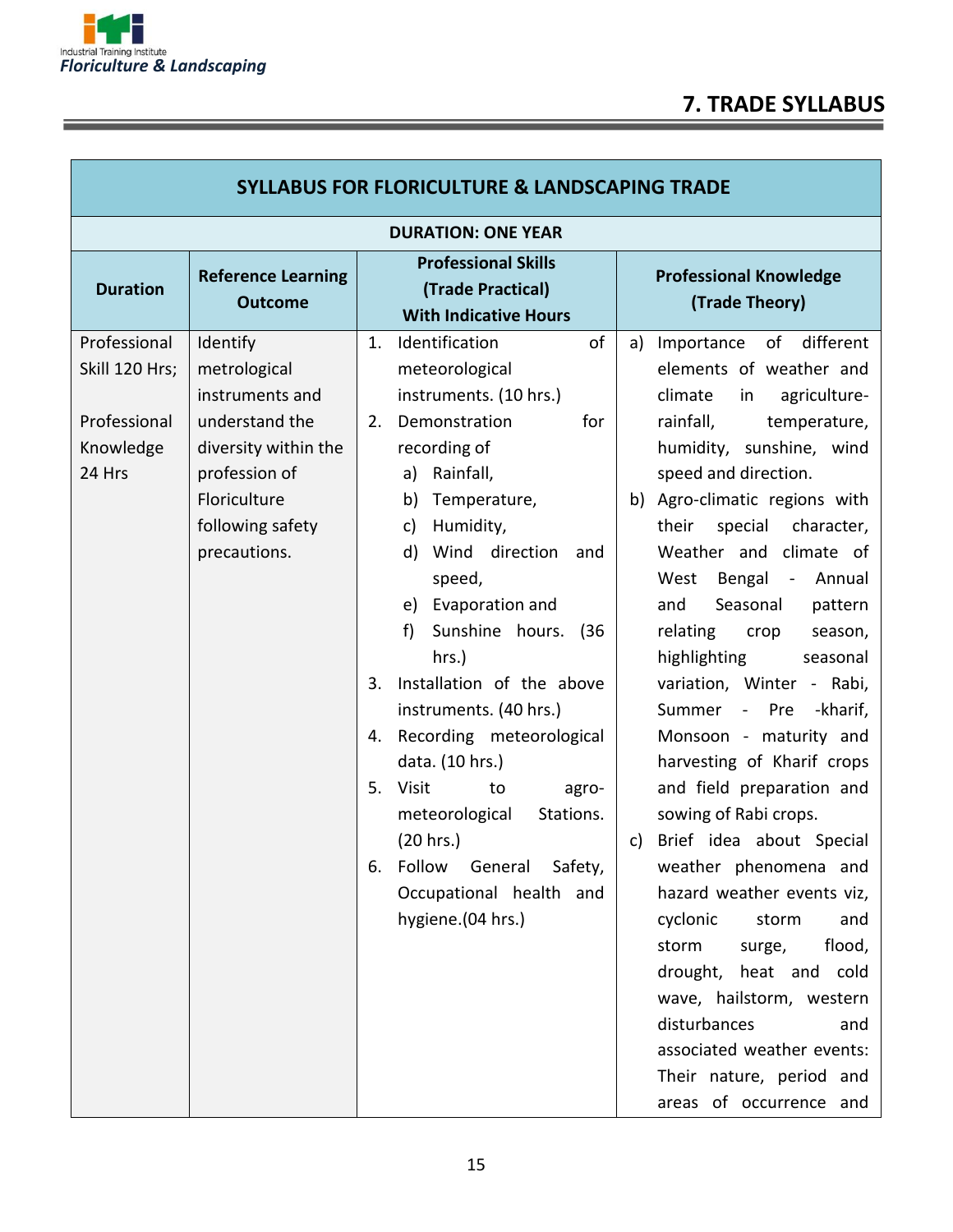

| <b>SYLLABUS FOR FLORICULTURE &amp; LANDSCAPING TRADE</b>              |                                                                                                                                                            |                                                                                                                                                                                                                                                                                                                                                                                                                                                                                                                                                                             |                                                                                                                                                                                                                                                                                                                                                                                                                                                                                                                                                                                                                                                                                                                                                                                                                                                                                                 |
|-----------------------------------------------------------------------|------------------------------------------------------------------------------------------------------------------------------------------------------------|-----------------------------------------------------------------------------------------------------------------------------------------------------------------------------------------------------------------------------------------------------------------------------------------------------------------------------------------------------------------------------------------------------------------------------------------------------------------------------------------------------------------------------------------------------------------------------|-------------------------------------------------------------------------------------------------------------------------------------------------------------------------------------------------------------------------------------------------------------------------------------------------------------------------------------------------------------------------------------------------------------------------------------------------------------------------------------------------------------------------------------------------------------------------------------------------------------------------------------------------------------------------------------------------------------------------------------------------------------------------------------------------------------------------------------------------------------------------------------------------|
| <b>DURATION: ONE YEAR</b>                                             |                                                                                                                                                            |                                                                                                                                                                                                                                                                                                                                                                                                                                                                                                                                                                             |                                                                                                                                                                                                                                                                                                                                                                                                                                                                                                                                                                                                                                                                                                                                                                                                                                                                                                 |
| <b>Duration</b>                                                       | <b>Reference Learning</b><br><b>Outcome</b>                                                                                                                | <b>Professional Skills</b><br>(Trade Practical)<br><b>With Indicative Hours</b>                                                                                                                                                                                                                                                                                                                                                                                                                                                                                             | <b>Professional Knowledge</b><br>(Trade Theory)                                                                                                                                                                                                                                                                                                                                                                                                                                                                                                                                                                                                                                                                                                                                                                                                                                                 |
| Professional<br>Skill 120 Hrs;<br>Professional<br>Knowledge<br>24 Hrs | Identify<br>metrological<br>instruments and<br>understand the<br>diversity within the<br>profession of<br>Floriculture<br>following safety<br>precautions. | of<br>Identification<br>1.<br>meteorological<br>instruments. (10 hrs.)<br>Demonstration<br>for<br>2.<br>recording of<br>Rainfall,<br>a)<br>Temperature,<br>b)<br>Humidity,<br>c)<br>Wind direction<br>d)<br>and<br>speed,<br>e) Evaporation and<br>Sunshine hours.<br>f)<br>(36)<br>hrs.)<br>Installation of the above<br>3.<br>instruments. (40 hrs.)<br>Recording meteorological<br>4.<br>data. (10 hrs.)<br>5.<br>Visit<br>to<br>agro-<br>Stations.<br>meteorological<br>(20 hrs.)<br>Follow<br>General<br>Safety,<br>6.<br>Occupational health and<br>hygiene.(04 hrs.) | different<br>Importance of<br>a)<br>elements of weather and<br>climate<br>agriculture-<br>in<br>rainfall,<br>temperature,<br>humidity, sunshine, wind<br>speed and direction.<br>Agro-climatic regions with<br>b)<br>their<br>special character,<br>Weather and climate of<br>Bengal -<br>West<br>Annual<br>Seasonal<br>and<br>pattern<br>relating<br>crop<br>season,<br>highlighting<br>seasonal<br>variation, Winter - Rabi,<br>Summer<br>- Pre<br>-kharif,<br>Monsoon - maturity and<br>harvesting of Kharif crops<br>and field preparation and<br>sowing of Rabi crops.<br>Brief idea about Special<br>c)<br>weather phenomena and<br>hazard weather events viz,<br>cyclonic<br>storm<br>and<br>flood,<br>storm<br>surge,<br>drought, heat and cold<br>wave, hailstorm, western<br>disturbances<br>and<br>associated weather events:<br>Their nature, period and<br>areas of occurrence and |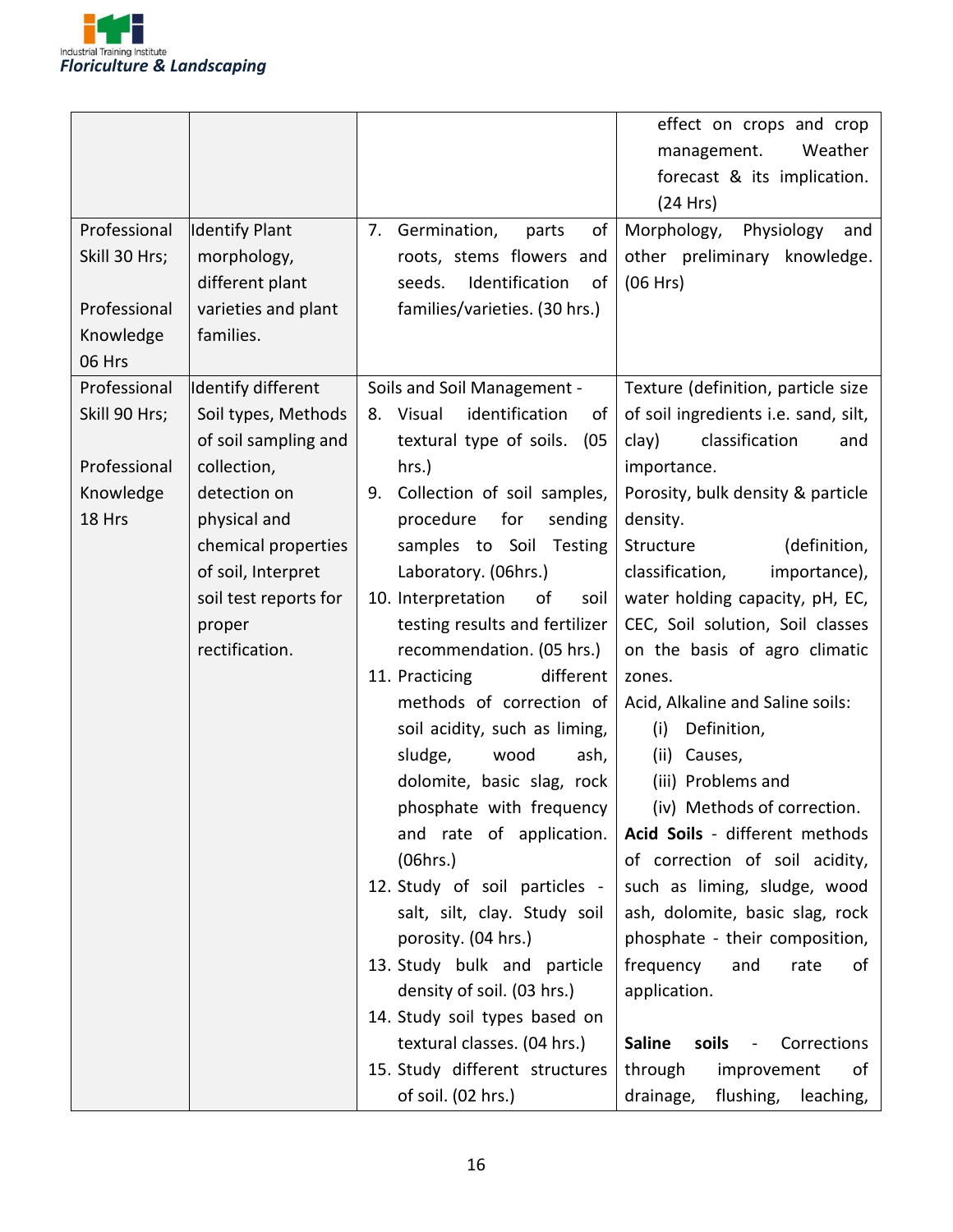

| Professional<br>Skill 30 Hrs;<br>Professional<br>Knowledge<br>06 Hrs | <b>Identify Plant</b><br>morphology,<br>different plant<br>varieties and plant<br>families.                                                                                                                        | Germination,<br>of<br>7.<br>parts<br>roots, stems flowers and<br>Identification<br>seeds.<br>of<br>families/varieties. (30 hrs.)                                                                                                                                                                                                                                                                                                                                                                                                                                                                                                                                                                                                                                                                                                             | effect on crops and crop<br>Weather<br>management.<br>forecast & its implication.<br>(24 Hrs)<br>Morphology,<br>Physiology<br>and<br>other preliminary knowledge.<br>(06 Hrs)                                                                                                                                                                                                                                                                                                                                                                                                                                                                                                                                                                                                                                                                                        |  |
|----------------------------------------------------------------------|--------------------------------------------------------------------------------------------------------------------------------------------------------------------------------------------------------------------|----------------------------------------------------------------------------------------------------------------------------------------------------------------------------------------------------------------------------------------------------------------------------------------------------------------------------------------------------------------------------------------------------------------------------------------------------------------------------------------------------------------------------------------------------------------------------------------------------------------------------------------------------------------------------------------------------------------------------------------------------------------------------------------------------------------------------------------------|----------------------------------------------------------------------------------------------------------------------------------------------------------------------------------------------------------------------------------------------------------------------------------------------------------------------------------------------------------------------------------------------------------------------------------------------------------------------------------------------------------------------------------------------------------------------------------------------------------------------------------------------------------------------------------------------------------------------------------------------------------------------------------------------------------------------------------------------------------------------|--|
| Professional<br>Skill 90 Hrs;<br>Professional<br>Knowledge<br>18 Hrs | Identify different<br>Soil types, Methods<br>of soil sampling and<br>collection,<br>detection on<br>physical and<br>chemical properties<br>of soil, Interpret<br>soil test reports for<br>proper<br>rectification. | Soils and Soil Management -<br>identification<br>8. Visual<br>of<br>textural type of soils.<br>(05)<br>hrs.)<br>Collection of soil samples,<br>9.<br>procedure<br>for<br>sending<br>samples to Soil Testing<br>Laboratory. (06hrs.)<br>10. Interpretation<br>of<br>soil<br>testing results and fertilizer<br>recommendation. (05 hrs.)<br>different<br>11. Practicing<br>methods of correction of<br>soil acidity, such as liming,<br>sludge,<br>wood<br>ash,<br>dolomite, basic slag, rock<br>phosphate with frequency<br>and rate of application.<br>(06hrs.)<br>12. Study of soil particles -<br>salt, silt, clay. Study soil<br>porosity. (04 hrs.)<br>13. Study bulk and particle<br>density of soil. (03 hrs.)<br>14. Study soil types based on<br>textural classes. (04 hrs.)<br>15. Study different structures<br>of soil. (02 hrs.) | Texture (definition, particle size<br>of soil ingredients i.e. sand, silt,<br>clay)<br>classification<br>and<br>importance.<br>Porosity, bulk density & particle<br>density.<br>Structure<br>(definition,<br>classification,<br>importance),<br>water holding capacity, pH, EC,<br>CEC, Soil solution, Soil classes<br>on the basis of agro climatic<br>zones.<br>Acid, Alkaline and Saline soils:<br>Definition,<br>(i)<br>(ii) Causes,<br>(iii) Problems and<br>(iv) Methods of correction.<br>Acid Soils - different methods<br>of correction of soil acidity,<br>such as liming, sludge, wood<br>ash, dolomite, basic slag, rock<br>phosphate - their composition,<br>frequency<br>and<br>rate<br>οf<br>application.<br><b>Saline</b><br>soils<br>Corrections<br>$\overline{\phantom{0}}$<br>through<br>improvement<br>οf<br>flushing,<br>drainage,<br>leaching, |  |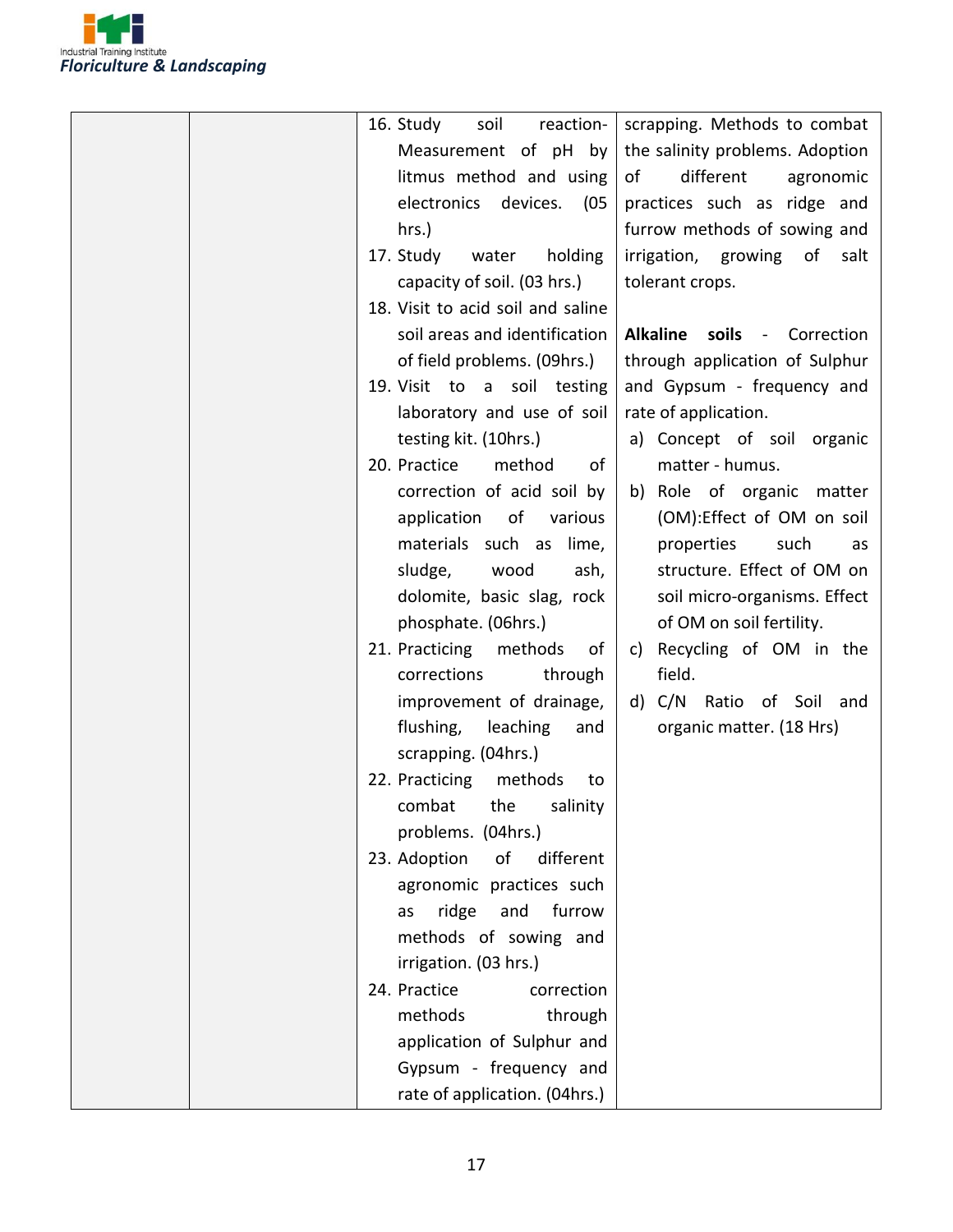

| 16. Study<br>soil<br>reaction-    | scrapping. Methods to combat             |
|-----------------------------------|------------------------------------------|
| Measurement of pH by              | the salinity problems. Adoption          |
| litmus method and using           | different<br>of<br>agronomic             |
| electronics devices.<br>(05       | practices such as ridge and              |
| hrs.)                             | furrow methods of sowing and             |
| 17. Study<br>water<br>holding     | irrigation, growing of<br>salt           |
| capacity of soil. (03 hrs.)       | tolerant crops.                          |
| 18. Visit to acid soil and saline |                                          |
| soil areas and identification     | <b>Alkaline</b><br>soils -<br>Correction |
| of field problems. (09hrs.)       | through application of Sulphur           |
| 19. Visit to a soil testing       | and Gypsum - frequency and               |
| laboratory and use of soil        | rate of application.                     |
| testing kit. (10hrs.)             | a) Concept of soil organic               |
| 20. Practice<br>method<br>of      | matter - humus.                          |
|                                   |                                          |
| correction of acid soil by        | b) Role of organic matter                |
| application of<br>various         | (OM):Effect of OM on soil                |
| materials such as<br>lime,        | properties<br>such<br>as                 |
| sludge,<br>wood<br>ash,           | structure. Effect of OM on               |
| dolomite, basic slag, rock        | soil micro-organisms. Effect             |
| phosphate. (06hrs.)               | of OM on soil fertility.                 |
| 21. Practicing<br>methods<br>of   | c) Recycling of OM in the                |
| corrections<br>through            | field.                                   |
| improvement of drainage,          | d) C/N Ratio of Soil and                 |
| flushing,<br>leaching<br>and      | organic matter. (18 Hrs)                 |
| scrapping. (04hrs.)               |                                          |
| 22. Practicing methods<br>to      |                                          |
| combat the salinity               |                                          |
| problems. (04hrs.)                |                                          |
| 23. Adoption<br>of<br>different   |                                          |
| agronomic practices such          |                                          |
| furrow<br>ridge<br>and<br>as      |                                          |
| methods of sowing and             |                                          |
| irrigation. (03 hrs.)             |                                          |
| 24. Practice<br>correction        |                                          |
| methods<br>through                |                                          |
|                                   |                                          |
| application of Sulphur and        |                                          |
| Gypsum - frequency and            |                                          |
| rate of application. (04hrs.)     |                                          |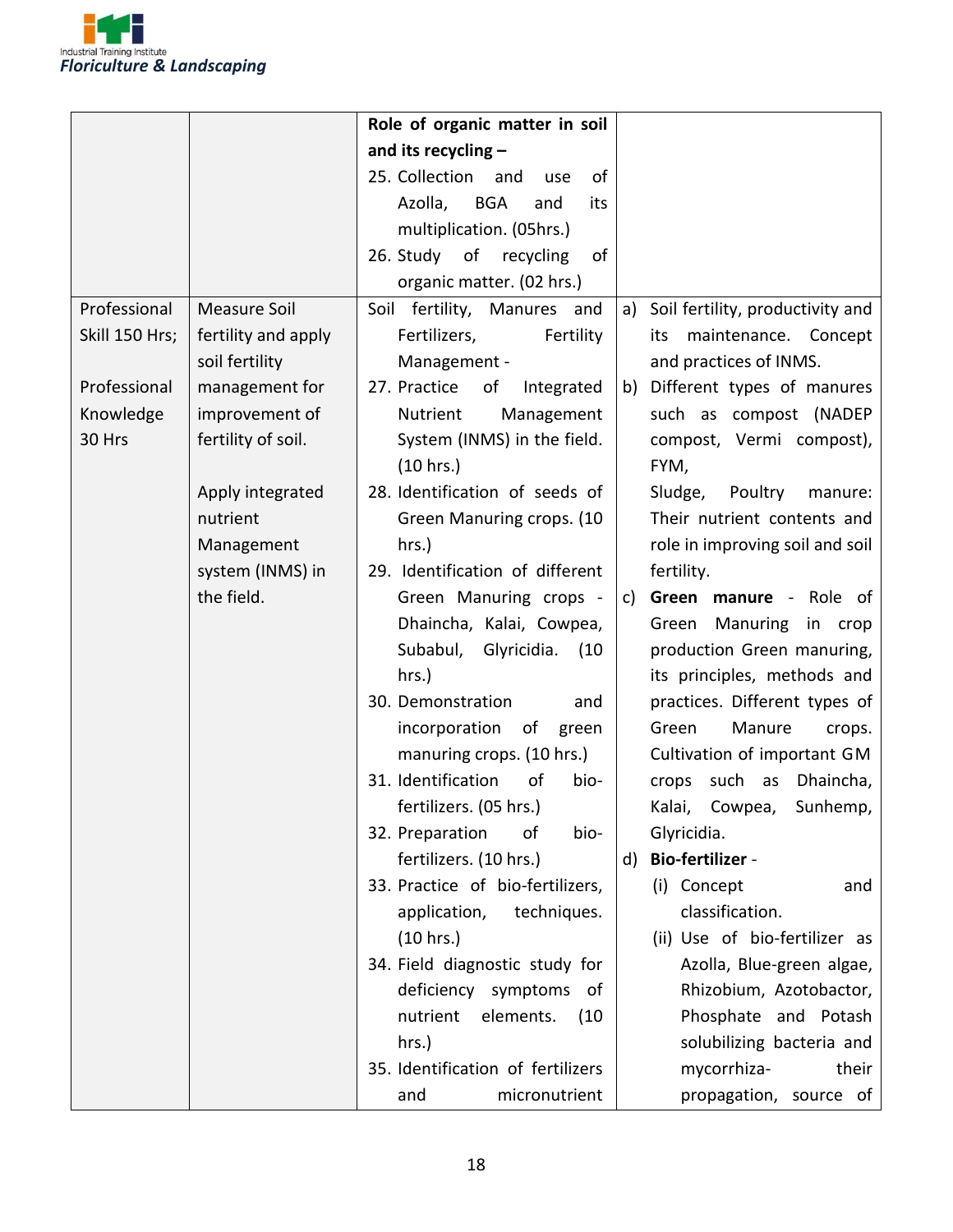

|                |                     | Role of organic matter in soil      |                                     |  |  |
|----------------|---------------------|-------------------------------------|-------------------------------------|--|--|
|                |                     | and its recycling -                 |                                     |  |  |
|                |                     | 25. Collection<br>of<br>and<br>use  |                                     |  |  |
|                |                     | Azolla,<br><b>BGA</b><br>and<br>its |                                     |  |  |
|                |                     | multiplication. (05hrs.)            |                                     |  |  |
|                |                     | 26. Study of recycling<br>of        |                                     |  |  |
|                |                     | organic matter. (02 hrs.)           |                                     |  |  |
| Professional   | <b>Measure Soil</b> | Soil fertility, Manures and         | a) Soil fertility, productivity and |  |  |
| Skill 150 Hrs; | fertility and apply | Fertilizers,<br>Fertility           | maintenance. Concept<br>its         |  |  |
|                | soil fertility      | Management -                        | and practices of INMS.              |  |  |
| Professional   | management for      | 27. Practice<br>of<br>Integrated    | b) Different types of manures       |  |  |
| Knowledge      | improvement of      | Nutrient<br>Management              | such as compost (NADEP              |  |  |
| 30 Hrs         | fertility of soil.  | System (INMS) in the field.         | compost, Vermi compost),            |  |  |
|                |                     | (10 hrs.)                           | FYM,                                |  |  |
|                | Apply integrated    | 28. Identification of seeds of      | Sludge,<br>Poultry<br>manure:       |  |  |
|                | nutrient            | Green Manuring crops. (10           | Their nutrient contents and         |  |  |
|                | Management          | hrs.)                               | role in improving soil and soil     |  |  |
|                | system (INMS) in    | 29. Identification of different     | fertility.                          |  |  |
|                | the field.          | Green Manuring crops -              | Green manure - Role of<br>c)        |  |  |
|                |                     | Dhaincha, Kalai, Cowpea,            | Green Manuring in crop              |  |  |
|                |                     | Subabul, Glyricidia.<br>(10)        | production Green manuring,          |  |  |
|                |                     | hrs.)                               | its principles, methods and         |  |  |
|                |                     | 30. Demonstration<br>and            | practices. Different types of       |  |  |
|                |                     | incorporation<br>of<br>green        | Manure<br>Green<br>crops.           |  |  |
|                |                     | manuring crops. (10 hrs.)           | Cultivation of important GM         |  |  |
|                |                     | 31. Identification<br>of<br>bio-    | crops such as Dhaincha,             |  |  |
|                |                     | fertilizers. (05 hrs.)              | Kalai, Cowpea, Sunhemp,             |  |  |
|                |                     | 32. Preparation<br>οf<br>bio-       | Glyricidia.                         |  |  |
|                |                     | fertilizers. (10 hrs.)              | <b>Bio-fertilizer -</b><br>d)       |  |  |
|                |                     | 33. Practice of bio-fertilizers,    | (i) Concept<br>and                  |  |  |
|                |                     | application,<br>techniques.         | classification.                     |  |  |
|                |                     | (10 hrs.)                           | (ii) Use of bio-fertilizer as       |  |  |
|                |                     | 34. Field diagnostic study for      | Azolla, Blue-green algae,           |  |  |
|                |                     | deficiency symptoms<br>of           | Rhizobium, Azotobactor,             |  |  |
|                |                     | nutrient<br>elements.<br>(10)       | Phosphate and Potash                |  |  |
|                |                     | hrs.)                               | solubilizing bacteria and           |  |  |
|                |                     | 35. Identification of fertilizers   | mycorrhiza-<br>their                |  |  |
|                |                     | micronutrient<br>and                | propagation, source of              |  |  |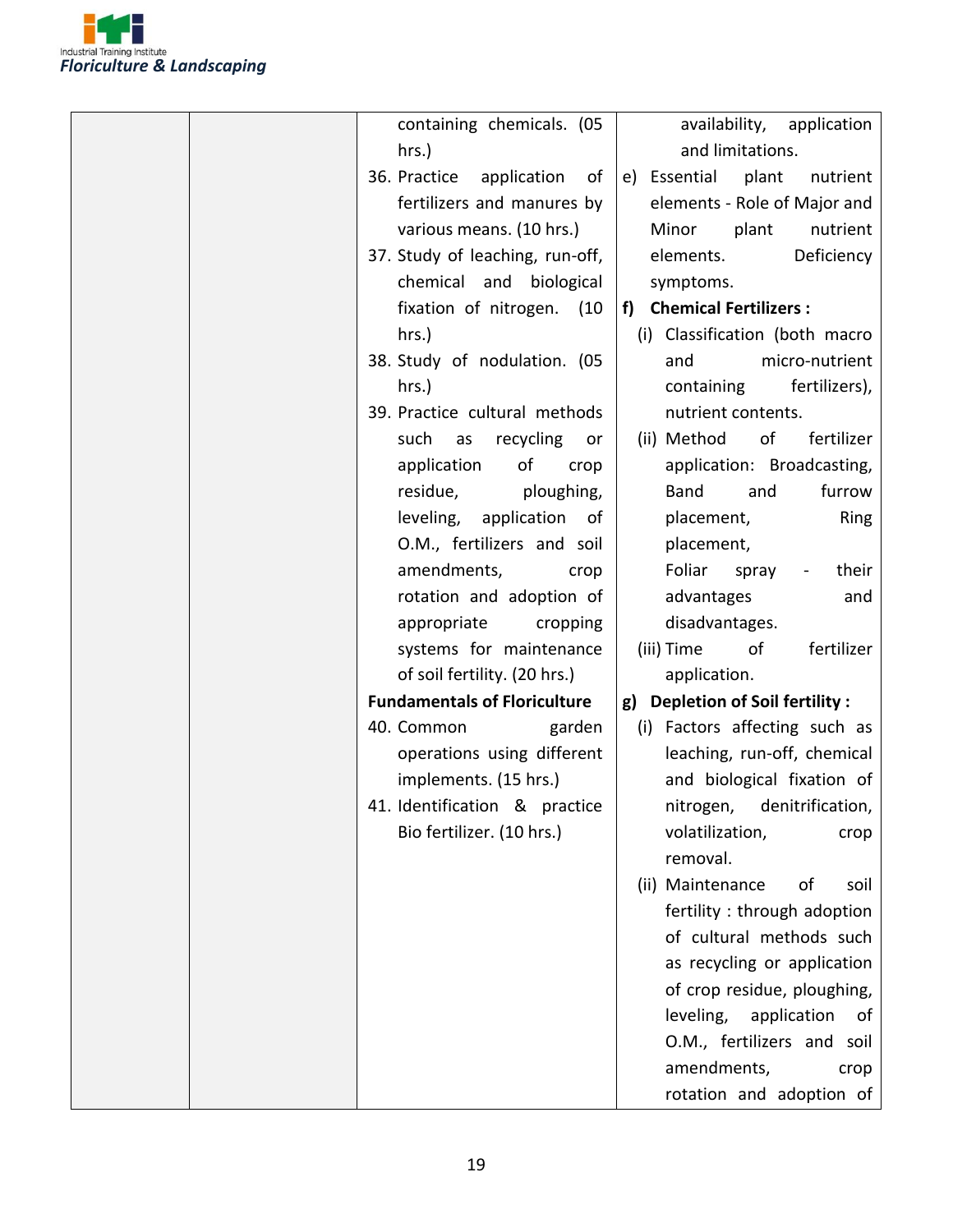

| containing chemicals. (05           | availability, application            |
|-------------------------------------|--------------------------------------|
| hrs.)                               | and limitations.                     |
| 36. Practice application<br>of      | e) Essential<br>plant<br>nutrient    |
| fertilizers and manures by          | elements - Role of Major and         |
| various means. (10 hrs.)            | nutrient<br>Minor<br>plant           |
| 37. Study of leaching, run-off,     | Deficiency<br>elements.              |
| chemical and biological             | symptoms.                            |
| fixation of nitrogen. (10           | f) Chemical Fertilizers :            |
| hrs.)                               | (i) Classification (both macro       |
| 38. Study of nodulation. (05        | micro-nutrient<br>and                |
| hrs.)                               | containing fertilizers),             |
| 39. Practice cultural methods       | nutrient contents.                   |
| such<br>recycling<br>as<br>or       | of<br>fertilizer<br>(ii) Method      |
| of<br>application<br>crop           | application: Broadcasting,           |
| residue,<br>ploughing,              | Band<br>and<br>furrow                |
| leveling, application of            | Ring<br>placement,                   |
| O.M., fertilizers and soil          | placement,                           |
| amendments,<br>crop                 | Foliar<br>their<br>spray<br>$\sim$ . |
| rotation and adoption of            | advantages<br>and                    |
| appropriate<br>cropping             | disadvantages.                       |
| systems for maintenance             | (iii) Time<br>of<br>fertilizer       |
| of soil fertility. (20 hrs.)        | application.                         |
| <b>Fundamentals of Floriculture</b> | g) Depletion of Soil fertility :     |
| 40. Common<br>garden                | (i) Factors affecting such as        |
| operations using different          | leaching, run-off, chemical          |
| implements. (15 hrs.)               | and biological fixation of           |
| 41. Identification & practice       | nitrogen, denitrification,           |
| Bio fertilizer. (10 hrs.)           | volatilization,<br>crop              |
|                                     | removal.                             |
|                                     | (ii) Maintenance<br>of<br>soil       |
|                                     | fertility: through adoption          |
|                                     | of cultural methods such             |
|                                     | as recycling or application          |
|                                     | of crop residue, ploughing,          |
|                                     | leveling,<br>application<br>of       |
|                                     | O.M., fertilizers and soil           |
|                                     | amendments,<br>crop                  |
|                                     | rotation and adoption of             |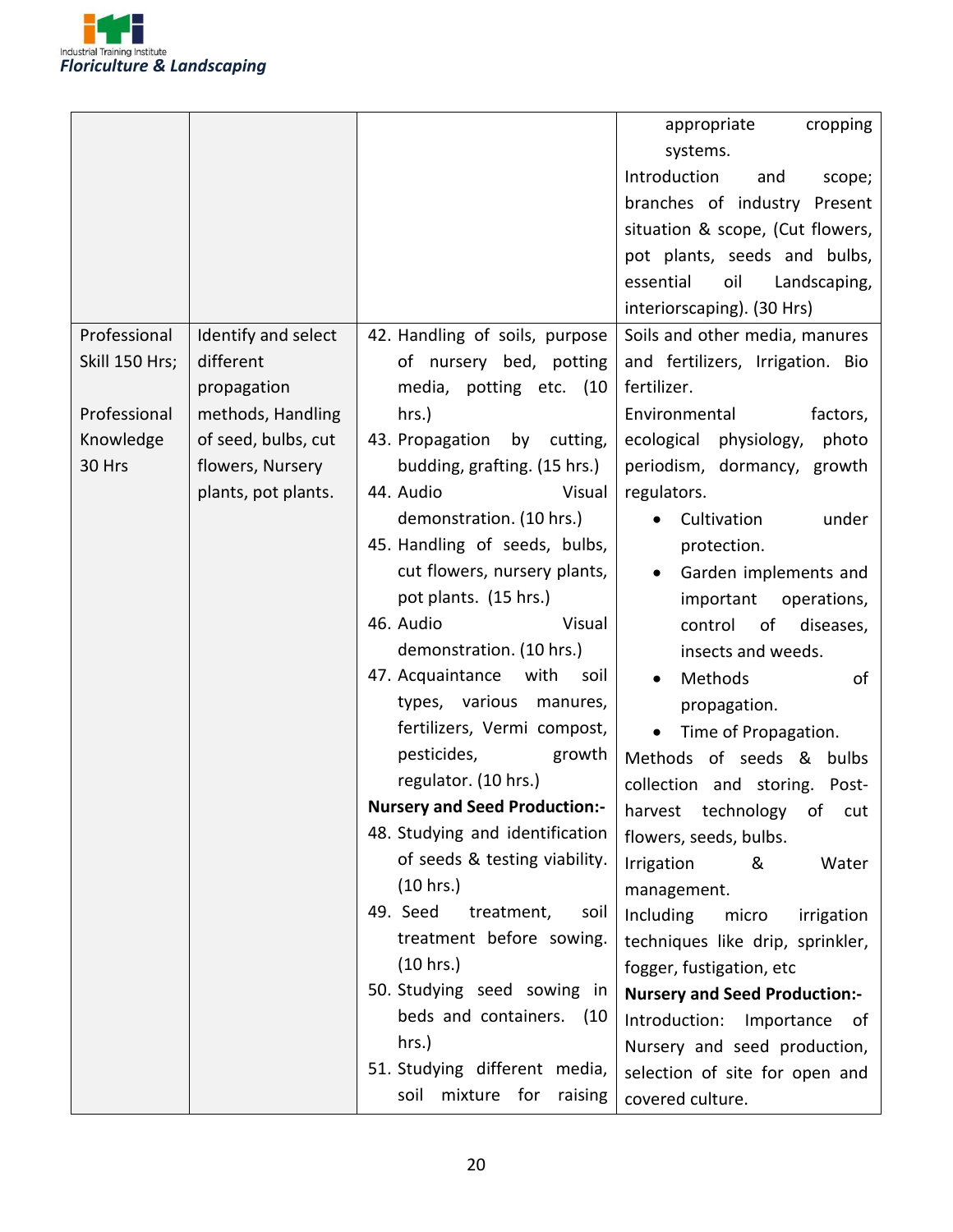

|                |                     |                                      | appropriate<br>cropping              |
|----------------|---------------------|--------------------------------------|--------------------------------------|
|                |                     |                                      | systems.                             |
|                |                     |                                      | Introduction<br>and<br>scope;        |
|                |                     |                                      | branches of industry Present         |
|                |                     |                                      | situation & scope, (Cut flowers,     |
|                |                     |                                      | pot plants, seeds and bulbs,         |
|                |                     |                                      | essential<br>oil<br>Landscaping,     |
|                |                     |                                      | interiorscaping). (30 Hrs)           |
| Professional   | Identify and select | 42. Handling of soils, purpose       | Soils and other media, manures       |
| Skill 150 Hrs; | different           | of nursery bed, potting              | and fertilizers, Irrigation. Bio     |
|                | propagation         | media, potting etc. (10              | fertilizer.                          |
| Professional   | methods, Handling   | hrs.)                                | Environmental<br>factors,            |
| Knowledge      | of seed, bulbs, cut | 43. Propagation<br>by cutting,       | ecological<br>physiology,<br>photo   |
| 30 Hrs         | flowers, Nursery    | budding, grafting. (15 hrs.)         | periodism, dormancy, growth          |
|                | plants, pot plants. | 44. Audio<br>Visual                  | regulators.                          |
|                |                     | demonstration. (10 hrs.)             | Cultivation<br>under                 |
|                |                     | 45. Handling of seeds, bulbs,        | protection.                          |
|                |                     | cut flowers, nursery plants,         | Garden implements and                |
|                |                     | pot plants. (15 hrs.)                | important<br>operations,             |
|                |                     | 46. Audio<br>Visual                  | of<br>diseases,<br>control           |
|                |                     | demonstration. (10 hrs.)             | insects and weeds.                   |
|                |                     | 47. Acquaintance with<br>soil        | Methods<br>of                        |
|                |                     | types, various<br>manures,           | propagation.                         |
|                |                     | fertilizers, Vermi compost,          | Time of Propagation.<br>$\bullet$    |
|                |                     | pesticides,<br>growth                | Methods of seeds & bulbs             |
|                |                     | regulator. (10 hrs.)                 | collection and storing. Post-        |
|                |                     | <b>Nursery and Seed Production:-</b> | harvest technology of cut            |
|                |                     | 48. Studying and identification      | flowers, seeds, bulbs.               |
|                |                     | of seeds & testing viability.        | Irrigation<br>&<br>Water             |
|                |                     | (10 hrs.)                            | management.                          |
|                |                     | 49. Seed<br>treatment,<br>soil       | Including<br>micro<br>irrigation     |
|                |                     | treatment before sowing.             | techniques like drip, sprinkler,     |
|                |                     | (10 hrs.)                            | fogger, fustigation, etc             |
|                |                     | 50. Studying seed sowing in          | <b>Nursery and Seed Production:-</b> |
|                |                     | beds and containers. (10             | Introduction:<br>Importance<br>of    |
|                |                     | hrs.)                                | Nursery and seed production,         |
|                |                     | 51. Studying different media,        | selection of site for open and       |
|                |                     | mixture for<br>raising<br>soil       | covered culture.                     |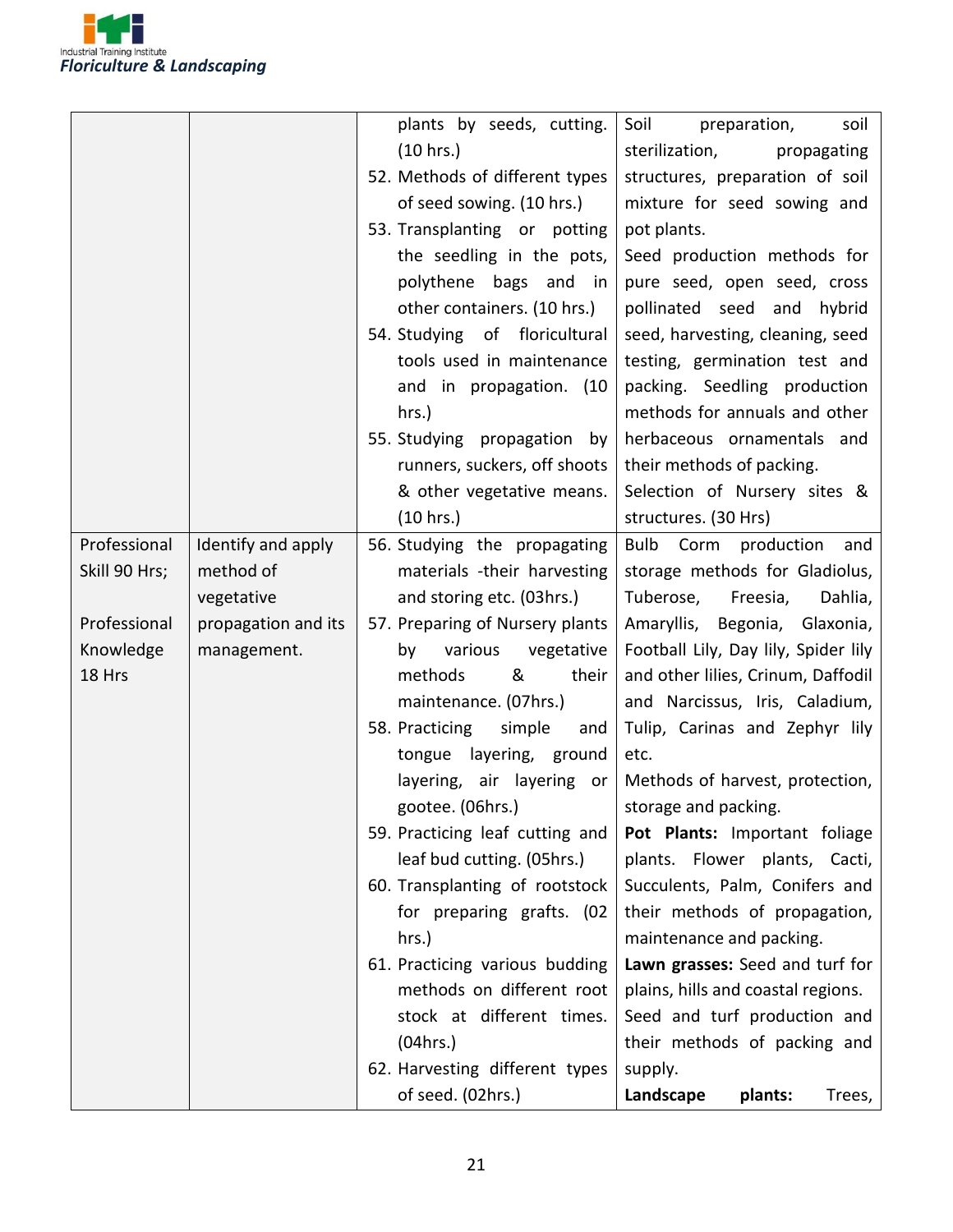

|               |                     | plants by seeds, cutting.       | Soil<br>preparation,<br>soil             |
|---------------|---------------------|---------------------------------|------------------------------------------|
|               |                     | (10 hrs.)                       | sterilization,<br>propagating            |
|               |                     | 52. Methods of different types  | structures, preparation of soil          |
|               |                     | of seed sowing. (10 hrs.)       | mixture for seed sowing and              |
|               |                     | 53. Transplanting or potting    | pot plants.                              |
|               |                     | the seedling in the pots,       | Seed production methods for              |
|               |                     | polythene bags and in           | pure seed, open seed, cross              |
|               |                     | other containers. (10 hrs.)     | pollinated seed and hybrid               |
|               |                     | 54. Studying of floricultural   | seed, harvesting, cleaning, seed         |
|               |                     | tools used in maintenance       | testing, germination test and            |
|               |                     | and in propagation. (10         | packing. Seedling production             |
|               |                     | hrs.)                           | methods for annuals and other            |
|               |                     | 55. Studying propagation by     | herbaceous ornamentals and               |
|               |                     | runners, suckers, off shoots    | their methods of packing.                |
|               |                     | & other vegetative means.       | Selection of Nursery sites &             |
|               |                     | (10 hrs.)                       | structures. (30 Hrs)                     |
| Professional  | Identify and apply  | 56. Studying the propagating    | <b>Bulb</b><br>Corm<br>production<br>and |
| Skill 90 Hrs; | method of           | materials -their harvesting     | storage methods for Gladiolus,           |
|               | vegetative          | and storing etc. (03hrs.)       | Freesia,<br>Tuberose,<br>Dahlia,         |
| Professional  | propagation and its | 57. Preparing of Nursery plants | Amaryllis, Begonia, Glaxonia,            |
| Knowledge     | management.         | various<br>vegetative<br>by     | Football Lily, Day lily, Spider lily     |
| 18 Hrs        |                     | &<br>their<br>methods           | and other lilies, Crinum, Daffodil       |
|               |                     | maintenance. (07hrs.)           | and Narcissus, Iris, Caladium,           |
|               |                     | 58. Practicing<br>simple<br>and | Tulip, Carinas and Zephyr lily           |
|               |                     | tongue layering, ground         | etc.                                     |
|               |                     | layering, air layering or       | Methods of harvest, protection,          |
|               |                     | gootee. (06hrs.)                | storage and packing.                     |
|               |                     | 59. Practicing leaf cutting and | Pot Plants: Important foliage            |
|               |                     | leaf bud cutting. (05hrs.)      | plants. Flower plants, Cacti,            |
|               |                     | 60. Transplanting of rootstock  | Succulents, Palm, Conifers and           |
|               |                     | for preparing grafts. (02       | their methods of propagation,            |
|               |                     | $hrs.$ )                        | maintenance and packing.                 |
|               |                     | 61. Practicing various budding  | Lawn grasses: Seed and turf for          |
|               |                     | methods on different root       | plains, hills and coastal regions.       |
|               |                     | stock at different times.       | Seed and turf production and             |
|               |                     | (04 hrs.)                       | their methods of packing and             |
|               |                     | 62. Harvesting different types  | supply.                                  |
|               |                     | of seed. (02hrs.)               | Landscape<br>plants:<br>Trees,           |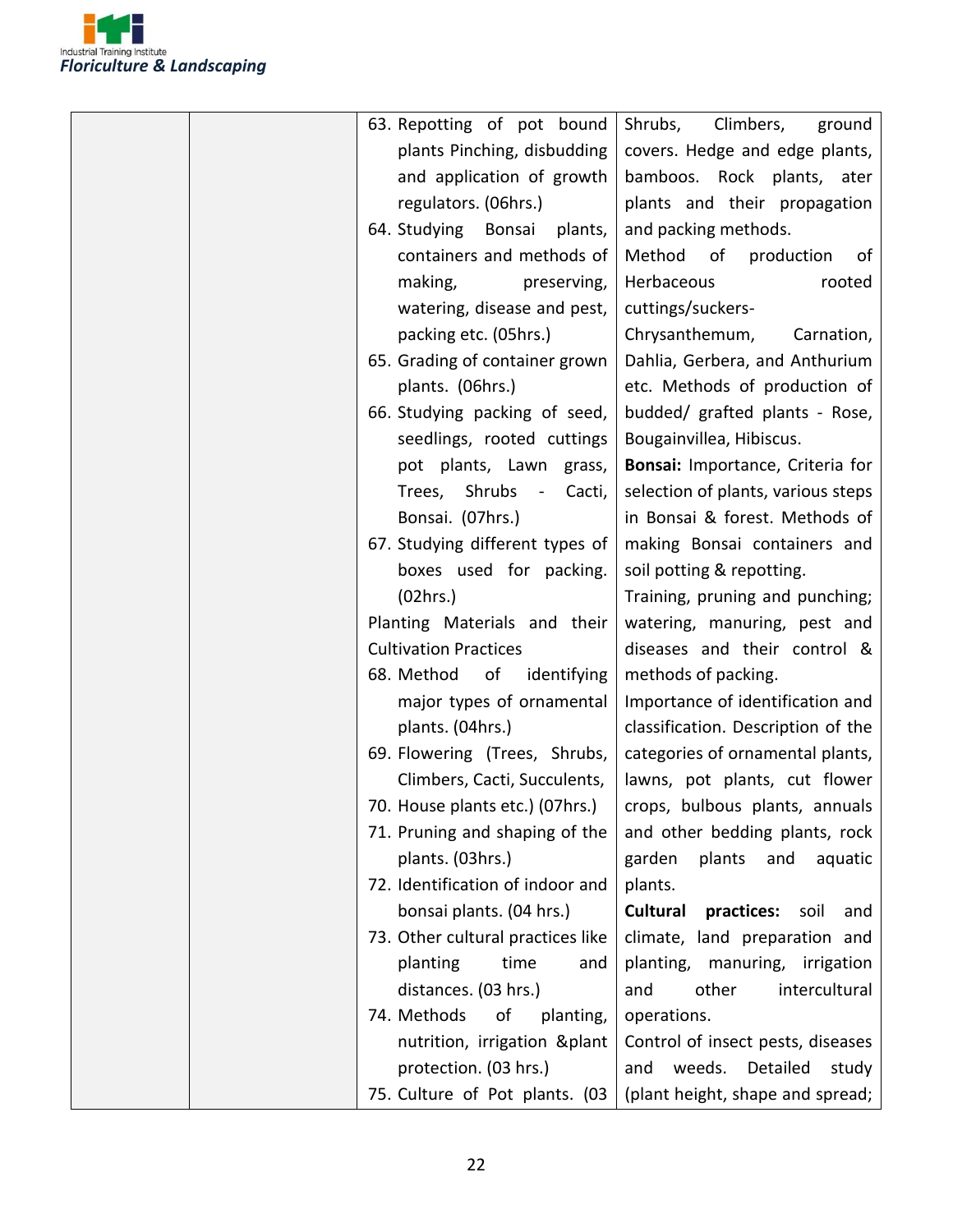

| 63. Repotting of pot bound        | Shrubs,<br>Climbers,<br>ground                                   |
|-----------------------------------|------------------------------------------------------------------|
| plants Pinching, disbudding       | covers. Hedge and edge plants,                                   |
| and application of growth         | bamboos. Rock plants, ater                                       |
| regulators. (06hrs.)              | plants and their propagation                                     |
| 64. Studying Bonsai plants,       | and packing methods.                                             |
| containers and methods of         | Method of<br>production<br>0f                                    |
| making,<br>preserving,            | Herbaceous<br>rooted                                             |
| watering, disease and pest,       | cuttings/suckers-                                                |
| packing etc. (05hrs.)             | Chrysanthemum,<br>Carnation,                                     |
| 65. Grading of container grown    | Dahlia, Gerbera, and Anthurium                                   |
| plants. (06hrs.)                  | etc. Methods of production of                                    |
| 66. Studying packing of seed,     | budded/ grafted plants - Rose,                                   |
| seedlings, rooted cuttings        | Bougainvillea, Hibiscus.                                         |
| pot plants, Lawn grass,           | Bonsai: Importance, Criteria for                                 |
| Trees, Shrubs -<br>Cacti,         | selection of plants, various steps                               |
| Bonsai. (07hrs.)                  | in Bonsai & forest. Methods of                                   |
| 67. Studying different types of   | making Bonsai containers and                                     |
| boxes used for packing.           | soil potting & repotting.                                        |
| (02hrs.)                          | Training, pruning and punching;                                  |
| Planting Materials and their      | watering, manuring, pest and                                     |
| <b>Cultivation Practices</b>      | diseases and their control &                                     |
| 68. Method<br>of<br>identifying   | methods of packing.                                              |
| major types of ornamental         | Importance of identification and                                 |
| plants. (04hrs.)                  | classification. Description of the                               |
| 69. Flowering (Trees, Shrubs,     | categories of ornamental plants,                                 |
| Climbers, Cacti, Succulents,      | lawns, pot plants, cut flower                                    |
|                                   | 70. House plants etc.) (07hrs.)   crops, bulbous plants, annuals |
| 71. Pruning and shaping of the    | and other bedding plants, rock                                   |
| plants. (03hrs.)                  | garden<br>plants<br>and<br>aquatic                               |
| 72. Identification of indoor and  | plants.                                                          |
| bonsai plants. (04 hrs.)          | <b>Cultural</b><br>practices:<br>soil<br>and                     |
| 73. Other cultural practices like | climate, land preparation and                                    |
| planting<br>time<br>and           | planting, manuring, irrigation                                   |
| distances. (03 hrs.)              | other<br>intercultural<br>and                                    |
| 74. Methods<br>οf<br>planting,    | operations.                                                      |
| nutrition, irrigation & plant     | Control of insect pests, diseases                                |
| protection. (03 hrs.)             | and weeds. Detailed<br>study                                     |
| 75. Culture of Pot plants. (03    | (plant height, shape and spread;                                 |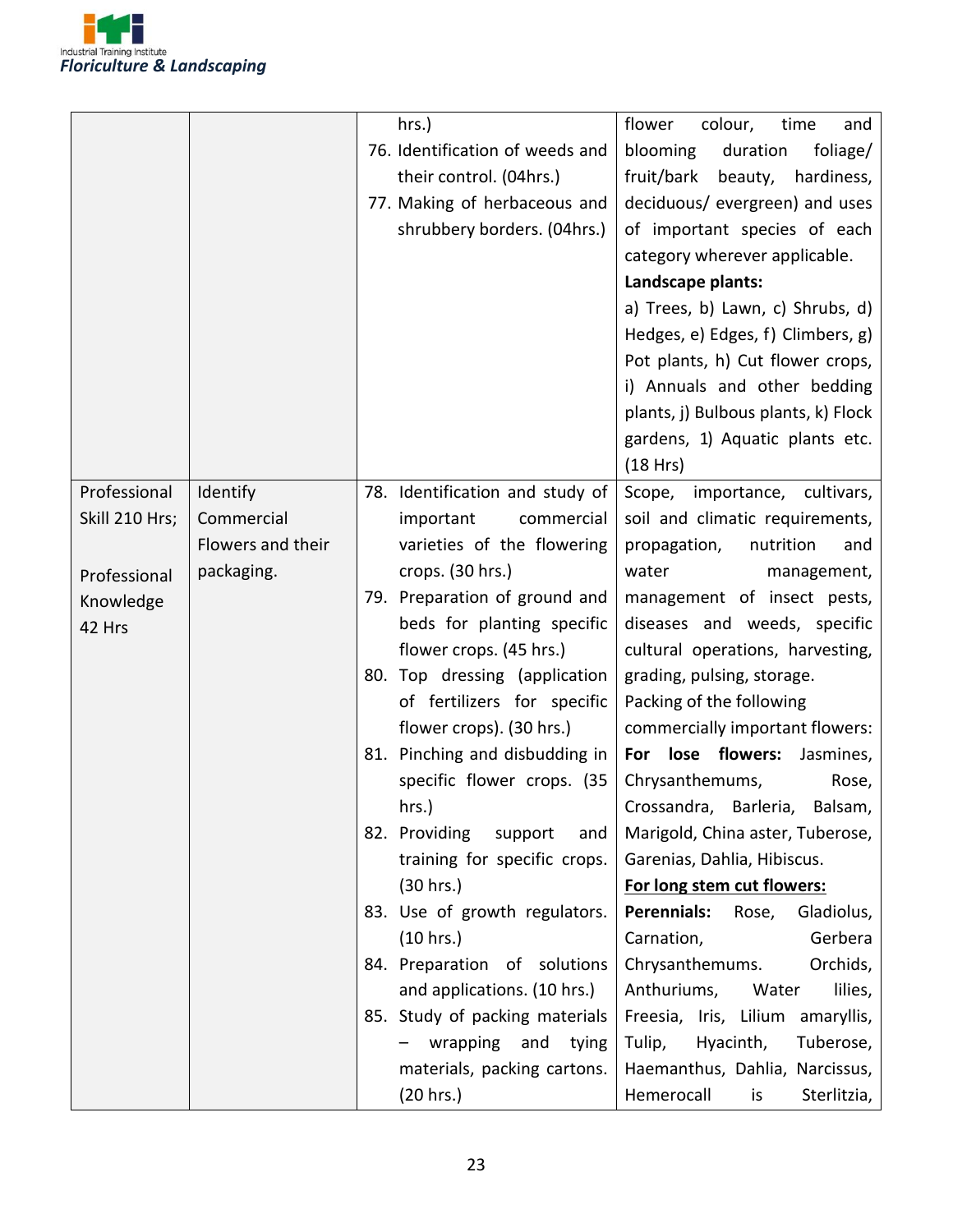

|                |                   | hrs.)                                                                                                                     | flower<br>colour,<br>time<br>and                                                                                                                                                                                                                                                                                                                                                                                                   |
|----------------|-------------------|---------------------------------------------------------------------------------------------------------------------------|------------------------------------------------------------------------------------------------------------------------------------------------------------------------------------------------------------------------------------------------------------------------------------------------------------------------------------------------------------------------------------------------------------------------------------|
|                |                   | 76. Identification of weeds and<br>their control. (04hrs.)<br>77. Making of herbaceous and<br>shrubbery borders. (04hrs.) | blooming<br>duration<br>foliage/<br>fruit/bark<br>beauty,<br>hardiness,<br>deciduous/ evergreen) and uses<br>of important species of each<br>category wherever applicable.<br>Landscape plants:<br>a) Trees, b) Lawn, c) Shrubs, d)<br>Hedges, e) Edges, f) Climbers, g)<br>Pot plants, h) Cut flower crops,<br>i) Annuals and other bedding<br>plants, j) Bulbous plants, k) Flock<br>gardens, 1) Aquatic plants etc.<br>(18 Hrs) |
| Professional   | Identify          | 78. Identification and study of                                                                                           | importance, cultivars,<br>Scope,                                                                                                                                                                                                                                                                                                                                                                                                   |
| Skill 210 Hrs; | Commercial        | important<br>commercial                                                                                                   | soil and climatic requirements,                                                                                                                                                                                                                                                                                                                                                                                                    |
|                | Flowers and their | varieties of the flowering                                                                                                | propagation,<br>nutrition<br>and                                                                                                                                                                                                                                                                                                                                                                                                   |
| Professional   | packaging.        | crops. (30 hrs.)                                                                                                          | water<br>management,                                                                                                                                                                                                                                                                                                                                                                                                               |
| Knowledge      |                   | 79. Preparation of ground and                                                                                             | management of insect pests,                                                                                                                                                                                                                                                                                                                                                                                                        |
| 42 Hrs         |                   | beds for planting specific                                                                                                | diseases and weeds, specific                                                                                                                                                                                                                                                                                                                                                                                                       |
|                |                   | flower crops. (45 hrs.)                                                                                                   | cultural operations, harvesting,                                                                                                                                                                                                                                                                                                                                                                                                   |
|                |                   | 80. Top dressing (application                                                                                             | grading, pulsing, storage.                                                                                                                                                                                                                                                                                                                                                                                                         |
|                |                   | of fertilizers for specific                                                                                               | Packing of the following                                                                                                                                                                                                                                                                                                                                                                                                           |
|                |                   | flower crops). (30 hrs.)                                                                                                  | commercially important flowers:                                                                                                                                                                                                                                                                                                                                                                                                    |
|                |                   | 81. Pinching and disbudding in                                                                                            | For lose flowers:<br>Jasmines,                                                                                                                                                                                                                                                                                                                                                                                                     |
|                |                   | specific flower crops. (35                                                                                                | Chrysanthemums,<br>Rose,                                                                                                                                                                                                                                                                                                                                                                                                           |
|                |                   | hrs.)                                                                                                                     | Crossandra, Barleria, Balsam,                                                                                                                                                                                                                                                                                                                                                                                                      |
|                |                   | 82. Providing<br>support<br>and                                                                                           | Marigold, China aster, Tuberose,                                                                                                                                                                                                                                                                                                                                                                                                   |
|                |                   | training for specific crops.                                                                                              | Garenias, Dahlia, Hibiscus.                                                                                                                                                                                                                                                                                                                                                                                                        |
|                |                   | (30 hrs.)                                                                                                                 | For long stem cut flowers:                                                                                                                                                                                                                                                                                                                                                                                                         |
|                |                   | 83. Use of growth regulators.                                                                                             | Gladiolus,<br>Perennials:<br>Rose,                                                                                                                                                                                                                                                                                                                                                                                                 |
|                |                   | (10 hrs.)                                                                                                                 | Gerbera<br>Carnation,                                                                                                                                                                                                                                                                                                                                                                                                              |
|                |                   | 84. Preparation of solutions                                                                                              | Chrysanthemums.<br>Orchids,                                                                                                                                                                                                                                                                                                                                                                                                        |
|                |                   | and applications. (10 hrs.)<br>85. Study of packing materials                                                             | Anthuriums,<br>Water<br>lilies,<br>Freesia, Iris, Lilium amaryllis,                                                                                                                                                                                                                                                                                                                                                                |
|                |                   | wrapping and<br>tying                                                                                                     | Hyacinth,<br>Tuberose,<br>Tulip,                                                                                                                                                                                                                                                                                                                                                                                                   |
|                |                   | materials, packing cartons.                                                                                               | Haemanthus, Dahlia, Narcissus,                                                                                                                                                                                                                                                                                                                                                                                                     |
|                |                   | (20 hrs.)                                                                                                                 | Hemerocall<br>Sterlitzia,<br>is                                                                                                                                                                                                                                                                                                                                                                                                    |
|                |                   |                                                                                                                           |                                                                                                                                                                                                                                                                                                                                                                                                                                    |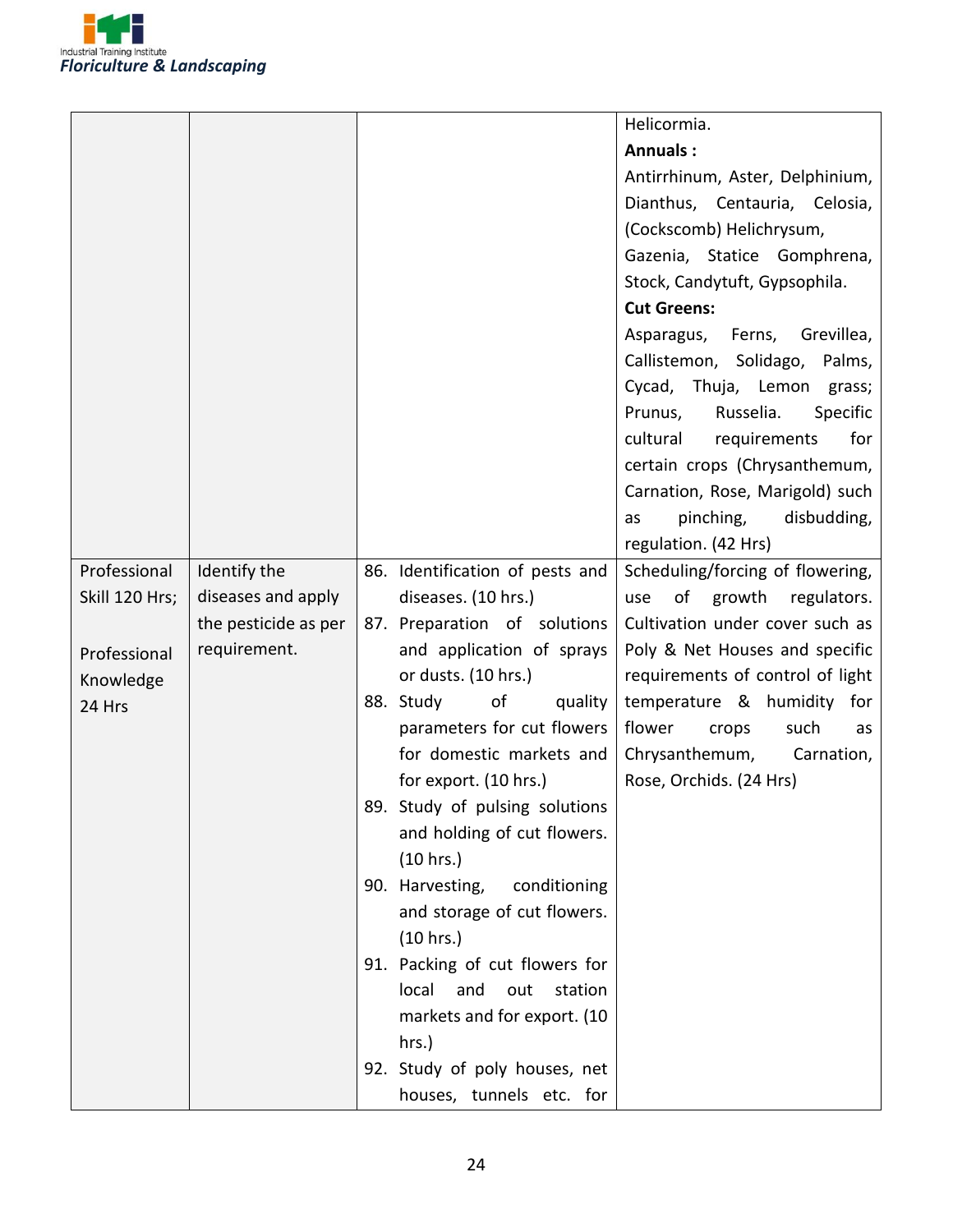

|                |                      |                                 | Helicormia.                      |
|----------------|----------------------|---------------------------------|----------------------------------|
|                |                      |                                 | <b>Annuals:</b>                  |
|                |                      |                                 | Antirrhinum, Aster, Delphinium,  |
|                |                      |                                 | Dianthus, Centauria, Celosia,    |
|                |                      |                                 | (Cockscomb) Helichrysum,         |
|                |                      |                                 | Gazenia, Statice Gomphrena,      |
|                |                      |                                 | Stock, Candytuft, Gypsophila.    |
|                |                      |                                 | <b>Cut Greens:</b>               |
|                |                      |                                 | Asparagus, Ferns, Grevillea,     |
|                |                      |                                 | Callistemon, Solidago, Palms,    |
|                |                      |                                 | Cycad, Thuja, Lemon grass;       |
|                |                      |                                 | Russelia.<br>Specific<br>Prunus, |
|                |                      |                                 | for<br>cultural<br>requirements  |
|                |                      |                                 | certain crops (Chrysanthemum,    |
|                |                      |                                 | Carnation, Rose, Marigold) such  |
|                |                      |                                 | pinching,<br>disbudding,<br>as   |
|                |                      |                                 | regulation. (42 Hrs)             |
| Professional   | Identify the         | 86. Identification of pests and | Scheduling/forcing of flowering, |
| Skill 120 Hrs; | diseases and apply   | diseases. (10 hrs.)             | growth regulators.<br>of<br>use  |
|                | the pesticide as per | 87. Preparation of solutions    | Cultivation under cover such as  |
| Professional   | requirement.         | and application of sprays       | Poly & Net Houses and specific   |
| Knowledge      |                      | or dusts. (10 hrs.)             | requirements of control of light |
| 24 Hrs         |                      | 88. Study<br>of<br>quality      | temperature & humidity for       |
|                |                      | parameters for cut flowers      | flower<br>crops<br>such<br>as    |
|                |                      | for domestic markets and        | Chrysanthemum,<br>Carnation,     |
|                |                      | for export. (10 hrs.)           | Rose, Orchids. (24 Hrs)          |
|                |                      | 89. Study of pulsing solutions  |                                  |
|                |                      | and holding of cut flowers.     |                                  |
|                |                      | (10 hrs.)                       |                                  |
|                |                      | 90. Harvesting,<br>conditioning |                                  |
|                |                      | and storage of cut flowers.     |                                  |
|                |                      | (10 hrs.)                       |                                  |
|                |                      | 91. Packing of cut flowers for  |                                  |
|                |                      | local<br>and<br>out<br>station  |                                  |
|                |                      | markets and for export. (10     |                                  |
|                |                      | hrs.)                           |                                  |
|                |                      | 92. Study of poly houses, net   |                                  |
|                |                      | houses, tunnels etc. for        |                                  |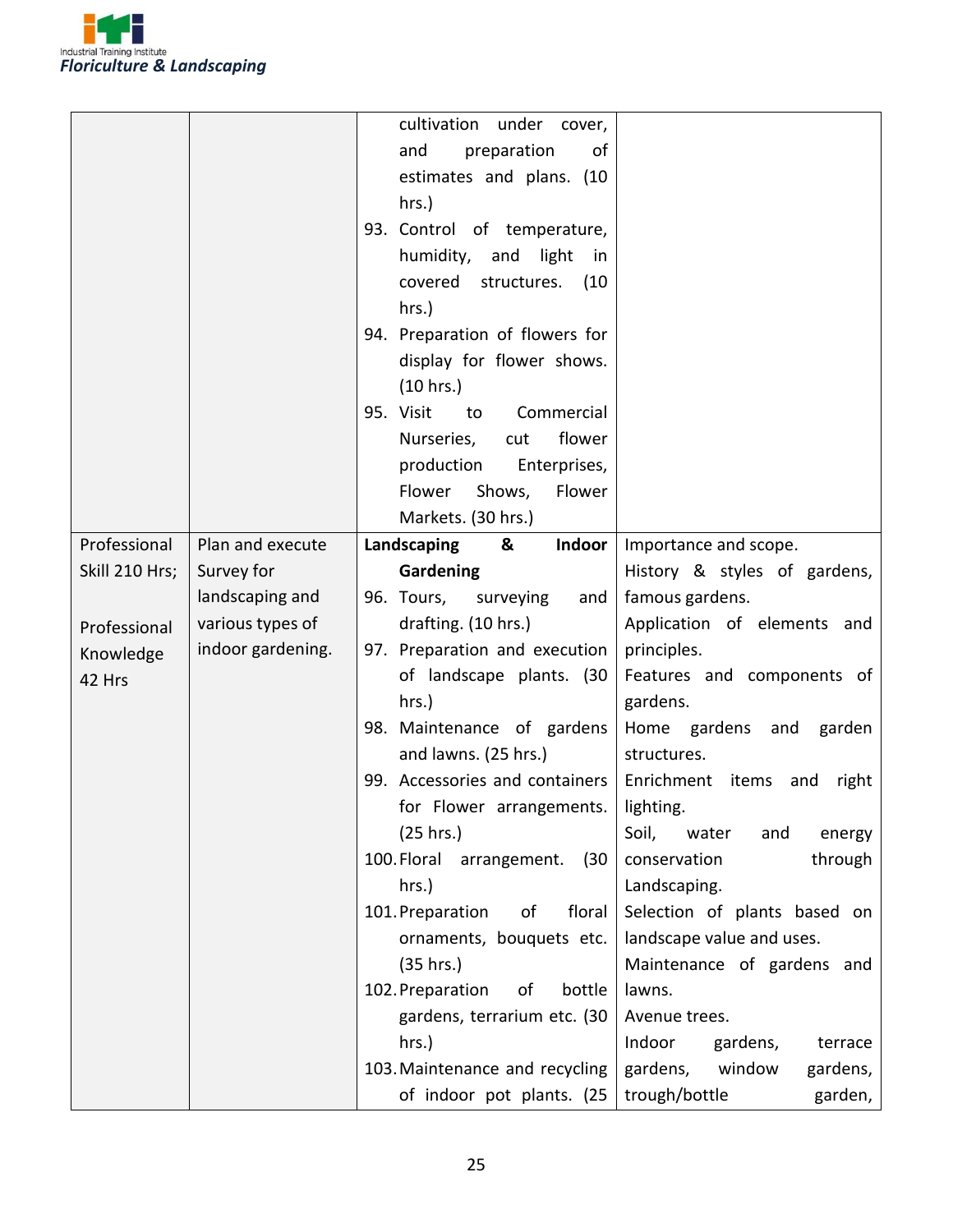

|                                                                       |                                                                                            | preparation<br>and<br>of<br>estimates and plans. (10<br>hrs.)<br>93. Control of temperature,<br>humidity, and light<br>in<br>covered<br>structures.<br>(10)<br>hrs.)<br>94. Preparation of flowers for<br>display for flower shows.<br>(10 hrs.)<br>95. Visit<br>Commercial<br>to<br>Nurseries,<br>flower<br>cut<br>production<br>Enterprises,                                                                                                                                                                                                                                 |                                                                                                                                                                                                                                                                                                                                                                                                                                                                                                   |
|-----------------------------------------------------------------------|--------------------------------------------------------------------------------------------|--------------------------------------------------------------------------------------------------------------------------------------------------------------------------------------------------------------------------------------------------------------------------------------------------------------------------------------------------------------------------------------------------------------------------------------------------------------------------------------------------------------------------------------------------------------------------------|---------------------------------------------------------------------------------------------------------------------------------------------------------------------------------------------------------------------------------------------------------------------------------------------------------------------------------------------------------------------------------------------------------------------------------------------------------------------------------------------------|
|                                                                       |                                                                                            | Flower<br>Shows,<br>Flower<br>Markets. (30 hrs.)                                                                                                                                                                                                                                                                                                                                                                                                                                                                                                                               |                                                                                                                                                                                                                                                                                                                                                                                                                                                                                                   |
| Professional<br>Skill 210 Hrs;<br>Professional<br>Knowledge<br>42 Hrs | Plan and execute<br>Survey for<br>landscaping and<br>various types of<br>indoor gardening. | Landscaping<br>Indoor<br>&<br>Gardening<br>96. Tours, surveying<br>and<br>drafting. (10 hrs.)<br>97. Preparation and execution<br>of landscape plants. (30<br>hrs.)<br>98. Maintenance of gardens<br>and lawns. (25 hrs.)<br>99. Accessories and containers   Enrichment items<br>for Flower arrangements.   lighting.<br>(25 hrs.)<br>100. Floral<br>arrangement.<br>(30)<br>hrs.)<br>101. Preparation<br>of<br>floral<br>ornaments, bouquets etc.<br>(35 hrs.)<br>102. Preparation<br>bottle<br>of<br>gardens, terrarium etc. (30<br>hrs.)<br>103. Maintenance and recycling | Importance and scope.<br>History & styles of gardens,<br>famous gardens.<br>Application of elements and<br>principles.<br>Features and components of<br>gardens.<br>Home gardens and garden<br>structures.<br>and<br>right<br>Soil,<br>water<br>and<br>energy<br>conservation<br>through<br>Landscaping.<br>Selection of plants based on<br>landscape value and uses.<br>Maintenance of gardens and<br>lawns.<br>Avenue trees.<br>Indoor<br>gardens,<br>terrace<br>gardens,<br>window<br>gardens, |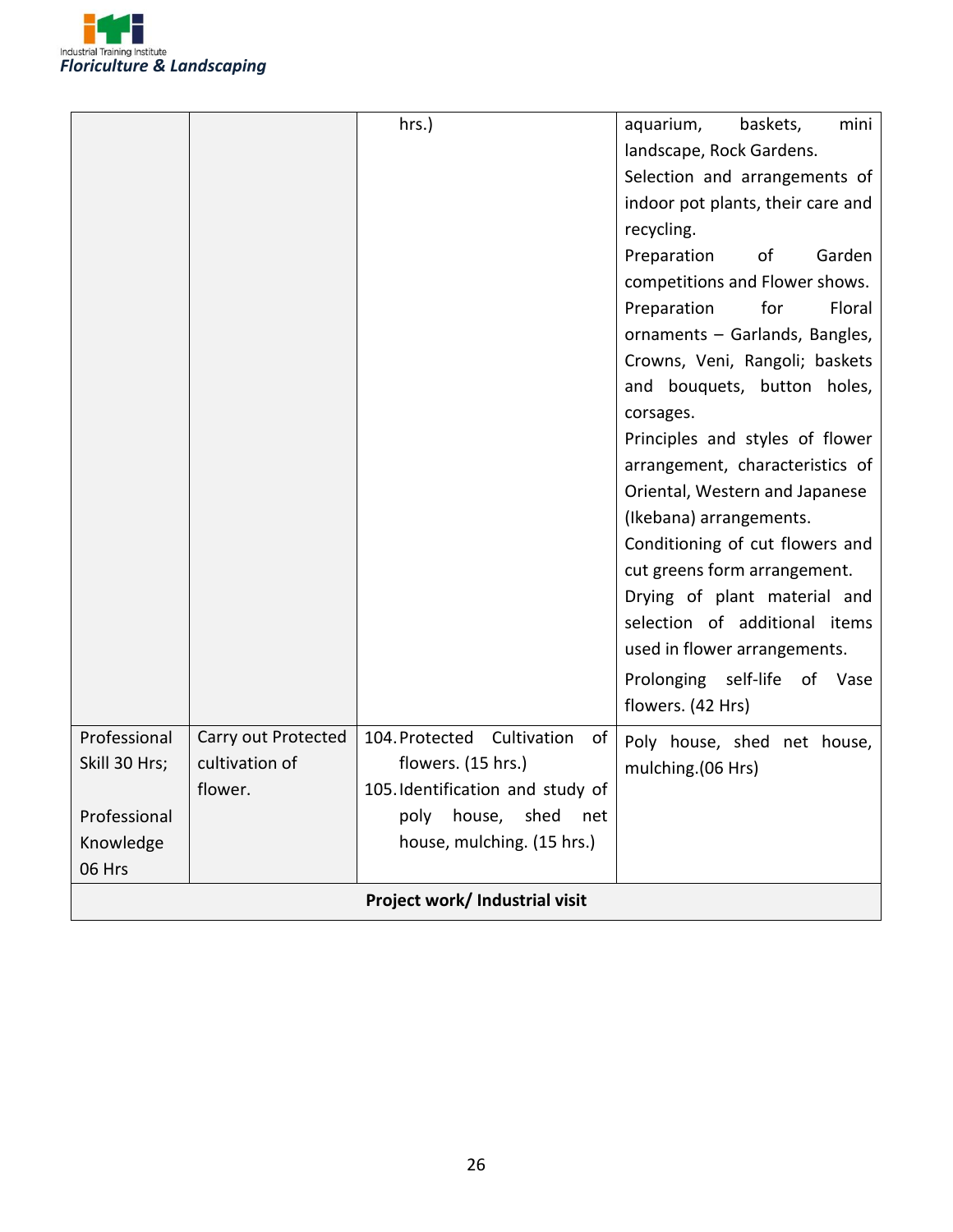

|                                |                     | hrs.)                               | aquarium,<br>mini<br>baskets,      |  |
|--------------------------------|---------------------|-------------------------------------|------------------------------------|--|
|                                |                     |                                     | landscape, Rock Gardens.           |  |
|                                |                     |                                     | Selection and arrangements of      |  |
|                                |                     |                                     | indoor pot plants, their care and  |  |
|                                |                     |                                     | recycling.                         |  |
|                                |                     |                                     | Preparation<br>Garden<br>οf        |  |
|                                |                     |                                     | competitions and Flower shows.     |  |
|                                |                     |                                     | Preparation<br>for<br>Floral       |  |
|                                |                     |                                     | ornaments - Garlands, Bangles,     |  |
|                                |                     |                                     | Crowns, Veni, Rangoli; baskets     |  |
|                                |                     |                                     | and bouquets, button holes,        |  |
|                                |                     |                                     | corsages.                          |  |
|                                |                     |                                     | Principles and styles of flower    |  |
|                                |                     |                                     | arrangement, characteristics of    |  |
|                                |                     |                                     | Oriental, Western and Japanese     |  |
|                                |                     |                                     | (Ikebana) arrangements.            |  |
|                                |                     |                                     | Conditioning of cut flowers and    |  |
|                                |                     |                                     | cut greens form arrangement.       |  |
|                                |                     |                                     | Drying of plant material and       |  |
|                                |                     |                                     | selection of additional items      |  |
|                                |                     |                                     | used in flower arrangements.       |  |
|                                |                     |                                     | Prolonging<br>self-life<br>of Vase |  |
|                                |                     |                                     | flowers. (42 Hrs)                  |  |
| Professional                   | Carry out Protected | Cultivation<br>104. Protected<br>of | Poly house, shed net house,        |  |
| Skill 30 Hrs;                  | cultivation of      | flowers. (15 hrs.)                  | mulching.(06 Hrs)                  |  |
|                                | flower.             | 105. Identification and study of    |                                    |  |
| Professional                   |                     | shed<br>poly<br>house,<br>net       |                                    |  |
| Knowledge                      |                     | house, mulching. (15 hrs.)          |                                    |  |
| 06 Hrs                         |                     |                                     |                                    |  |
| Project work/ Industrial visit |                     |                                     |                                    |  |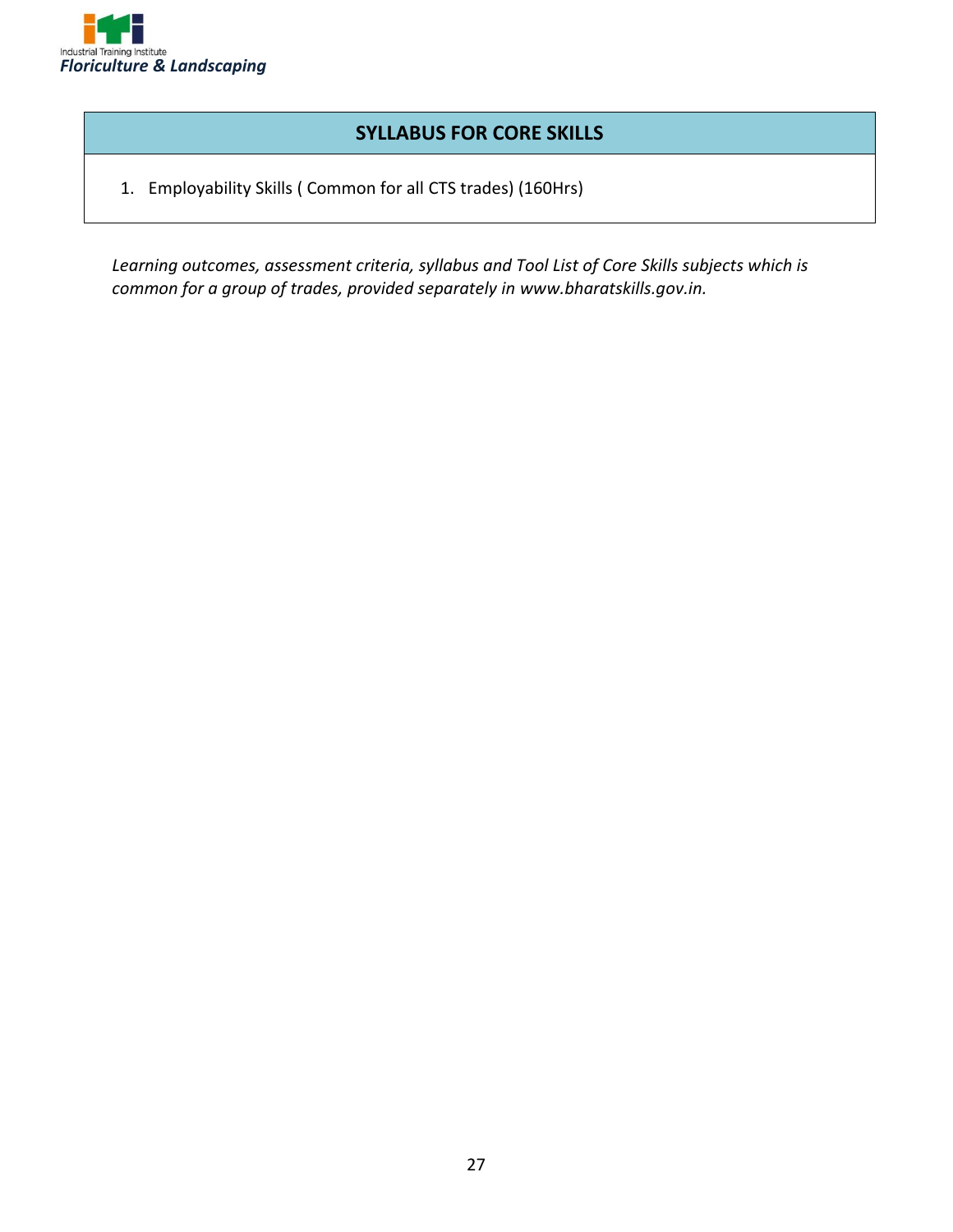

#### **SYLLABUS FOR CORE SKILLS**

1. Employability Skills ( Common for all CTS trades) (160Hrs)

*Learning outcomes, assessment criteria, syllabus and Tool List of Core Skills subjects which is common for a group of trades, provided separately in www.bharatskills.gov.in.*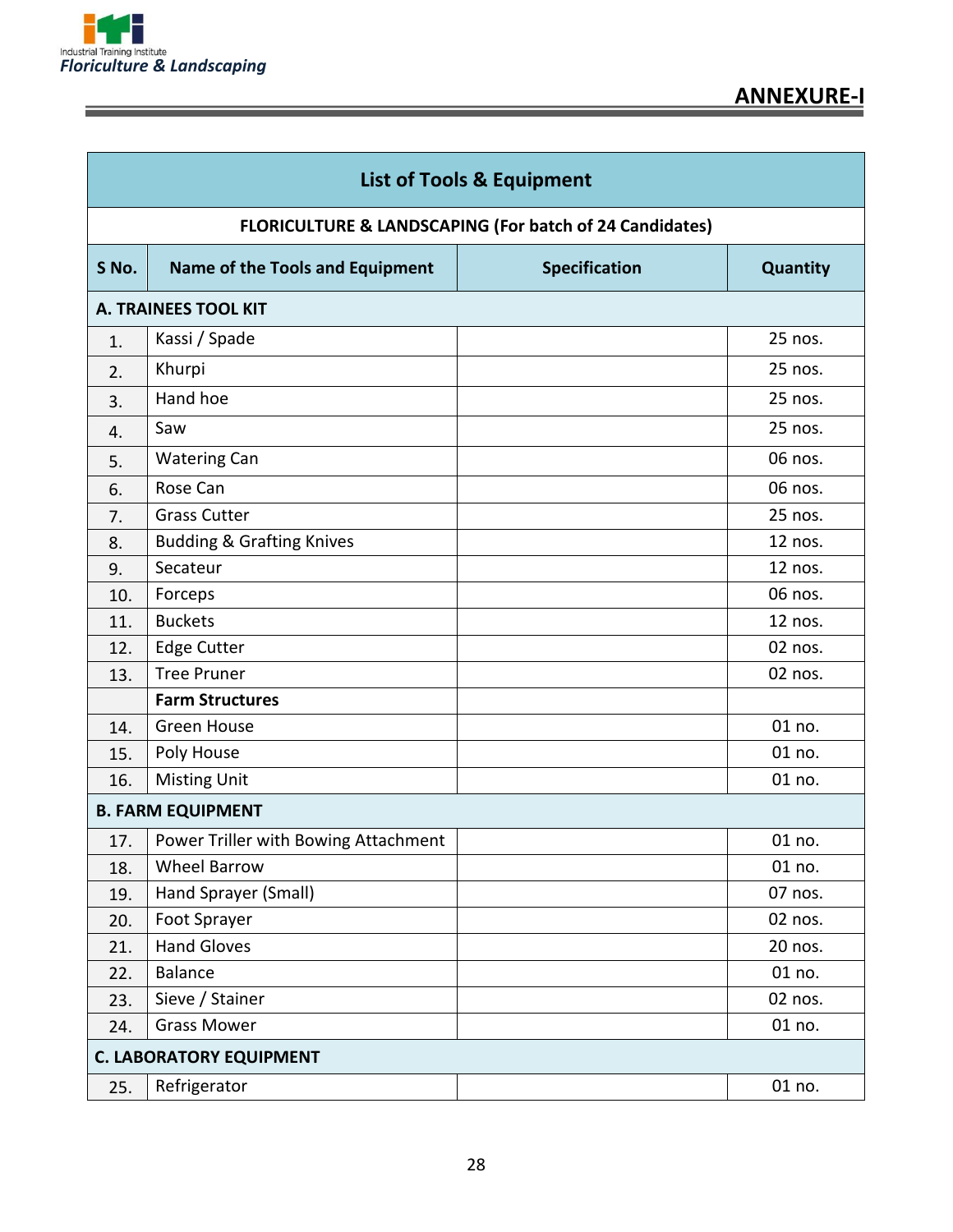

| <b>List of Tools &amp; Equipment</b> |                                                         |                      |          |  |  |
|--------------------------------------|---------------------------------------------------------|----------------------|----------|--|--|
|                                      | FLORICULTURE & LANDSCAPING (For batch of 24 Candidates) |                      |          |  |  |
| S No.                                | <b>Name of the Tools and Equipment</b>                  | <b>Specification</b> | Quantity |  |  |
|                                      | <b>A. TRAINEES TOOL KIT</b>                             |                      |          |  |  |
| 1.                                   | Kassi / Spade                                           |                      | 25 nos.  |  |  |
| 2.                                   | Khurpi                                                  |                      | 25 nos.  |  |  |
| 3.                                   | Hand hoe                                                |                      | 25 nos.  |  |  |
| 4.                                   | Saw                                                     |                      | 25 nos.  |  |  |
| 5.                                   | <b>Watering Can</b>                                     |                      | 06 nos.  |  |  |
| 6.                                   | Rose Can                                                |                      | 06 nos.  |  |  |
| 7.                                   | <b>Grass Cutter</b>                                     |                      | 25 nos.  |  |  |
| 8.                                   | <b>Budding &amp; Grafting Knives</b>                    |                      | 12 nos.  |  |  |
| 9.                                   | Secateur                                                |                      | 12 nos.  |  |  |
| 10.                                  | Forceps                                                 |                      | 06 nos.  |  |  |
| 11.                                  | <b>Buckets</b>                                          |                      | 12 nos.  |  |  |
| 12.                                  | <b>Edge Cutter</b>                                      |                      | 02 nos.  |  |  |
| 13.                                  | <b>Tree Pruner</b>                                      |                      | 02 nos.  |  |  |
|                                      | <b>Farm Structures</b>                                  |                      |          |  |  |
| 14.                                  | <b>Green House</b>                                      |                      | 01 no.   |  |  |
| 15.                                  | Poly House                                              |                      | 01 no.   |  |  |
| 16.                                  | <b>Misting Unit</b>                                     |                      | 01 no.   |  |  |
|                                      | <b>B. FARM EQUIPMENT</b>                                |                      |          |  |  |
| 17.                                  | Power Triller with Bowing Attachment                    |                      | 01 no.   |  |  |
| 18.                                  | <b>Wheel Barrow</b>                                     |                      | 01 no.   |  |  |
| 19.                                  | Hand Sprayer (Small)                                    |                      | 07 nos.  |  |  |
| 20.                                  | Foot Sprayer                                            |                      | 02 nos.  |  |  |
| 21.                                  | <b>Hand Gloves</b>                                      |                      | 20 nos.  |  |  |
| 22.                                  | <b>Balance</b>                                          |                      | 01 no.   |  |  |
| 23.                                  | Sieve / Stainer                                         |                      | 02 nos.  |  |  |
| 24.                                  | <b>Grass Mower</b>                                      |                      | 01 no.   |  |  |
| <b>C. LABORATORY EQUIPMENT</b>       |                                                         |                      |          |  |  |
| 25.                                  | Refrigerator                                            |                      | 01 no.   |  |  |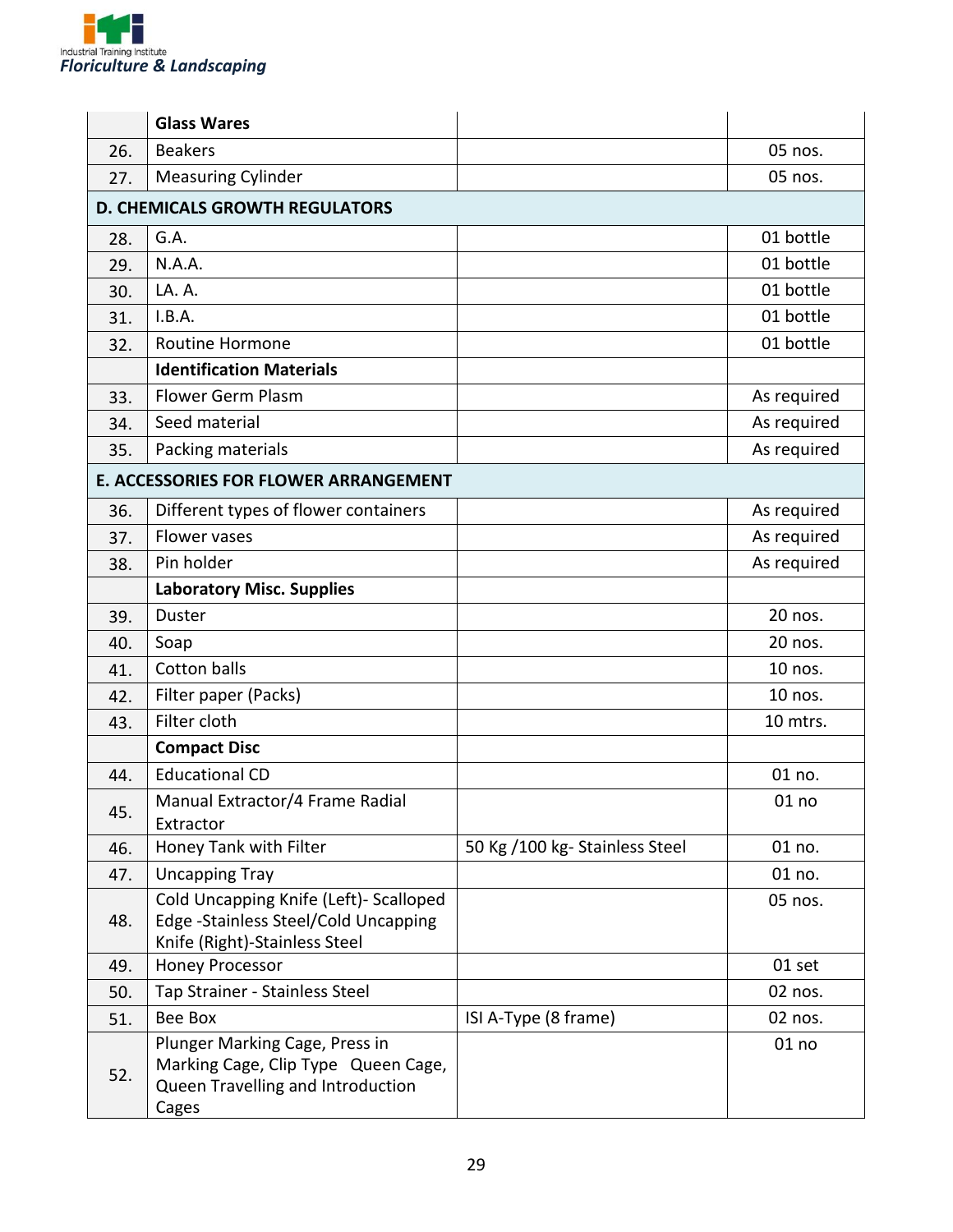

|     | <b>Glass Wares</b>                                                                                                  |                               |             |  |
|-----|---------------------------------------------------------------------------------------------------------------------|-------------------------------|-------------|--|
| 26. | <b>Beakers</b>                                                                                                      |                               | 05 nos.     |  |
| 27. | <b>Measuring Cylinder</b>                                                                                           |                               | 05 nos.     |  |
|     | <b>D. CHEMICALS GROWTH REGULATORS</b>                                                                               |                               |             |  |
| 28. | G.A.                                                                                                                |                               | 01 bottle   |  |
| 29. | N.A.A.                                                                                                              |                               | 01 bottle   |  |
| 30. | LA. A.                                                                                                              |                               | 01 bottle   |  |
| 31. | I.B.A.                                                                                                              |                               | 01 bottle   |  |
| 32. | <b>Routine Hormone</b>                                                                                              |                               | 01 bottle   |  |
|     | <b>Identification Materials</b>                                                                                     |                               |             |  |
| 33. | Flower Germ Plasm                                                                                                   |                               | As required |  |
| 34. | Seed material                                                                                                       |                               | As required |  |
| 35. | Packing materials                                                                                                   |                               | As required |  |
|     | <b>E. ACCESSORIES FOR FLOWER ARRANGEMENT</b>                                                                        |                               |             |  |
| 36. | Different types of flower containers                                                                                |                               | As required |  |
| 37. | Flower vases                                                                                                        |                               | As required |  |
| 38. | Pin holder                                                                                                          |                               | As required |  |
|     | <b>Laboratory Misc. Supplies</b>                                                                                    |                               |             |  |
| 39. | Duster                                                                                                              |                               | 20 nos.     |  |
| 40. | Soap                                                                                                                |                               | 20 nos.     |  |
| 41. | <b>Cotton balls</b>                                                                                                 |                               | 10 nos.     |  |
| 42. | Filter paper (Packs)                                                                                                |                               | 10 nos.     |  |
| 43. | Filter cloth                                                                                                        |                               | 10 mtrs.    |  |
|     | <b>Compact Disc</b>                                                                                                 |                               |             |  |
| 44. | <b>Educational CD</b>                                                                                               |                               | 01 no.      |  |
| 45. | Manual Extractor/4 Frame Radial<br>Extractor                                                                        |                               | 01 no       |  |
| 46. | Honey Tank with Filter                                                                                              | 50 Kg /100 kg-Stainless Steel | 01 no.      |  |
| 47. | <b>Uncapping Tray</b>                                                                                               |                               | 01 no.      |  |
| 48. | Cold Uncapping Knife (Left)- Scalloped<br>Edge -Stainless Steel/Cold Uncapping<br>Knife (Right)-Stainless Steel     |                               | 05 nos.     |  |
| 49. | <b>Honey Processor</b>                                                                                              |                               | 01 set      |  |
| 50. | Tap Strainer - Stainless Steel                                                                                      |                               | 02 nos.     |  |
| 51. | Bee Box                                                                                                             | ISI A-Type (8 frame)          | 02 nos.     |  |
| 52. | Plunger Marking Cage, Press in<br>Marking Cage, Clip Type Queen Cage,<br>Queen Travelling and Introduction<br>Cages |                               | 01 no       |  |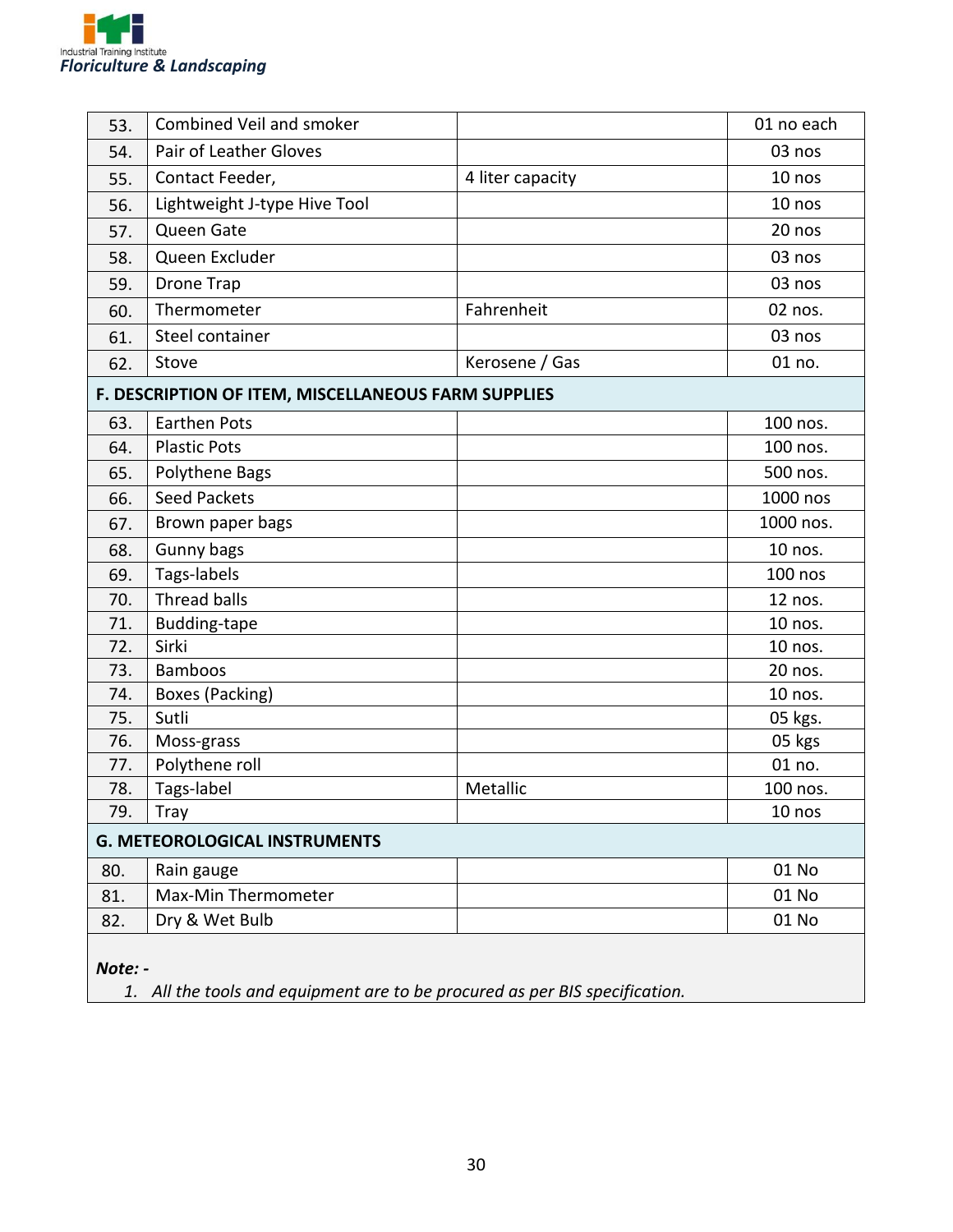

| 53.                                                 | Combined Veil and smoker             |                  | 01 no each |
|-----------------------------------------------------|--------------------------------------|------------------|------------|
| 54.                                                 | Pair of Leather Gloves               |                  | 03 nos     |
| 55.                                                 | Contact Feeder,                      | 4 liter capacity | 10 nos     |
| 56.                                                 | Lightweight J-type Hive Tool         |                  | 10 nos     |
| 57.                                                 | Queen Gate                           |                  | 20 nos     |
| 58.                                                 | Queen Excluder                       |                  | 03 nos     |
| 59.                                                 | <b>Drone Trap</b>                    |                  | 03 nos     |
| 60.                                                 | Thermometer                          | Fahrenheit       | 02 nos.    |
| 61.                                                 | Steel container                      |                  | 03 nos     |
| 62.                                                 | Stove                                | Kerosene / Gas   | 01 no.     |
| F. DESCRIPTION OF ITEM, MISCELLANEOUS FARM SUPPLIES |                                      |                  |            |
| 63.                                                 | <b>Earthen Pots</b>                  |                  | 100 nos.   |
| 64.                                                 | <b>Plastic Pots</b>                  |                  | 100 nos.   |
| 65.                                                 | Polythene Bags                       |                  | 500 nos.   |
| 66.                                                 | <b>Seed Packets</b>                  |                  | 1000 nos   |
| 67.                                                 | Brown paper bags                     |                  | 1000 nos.  |
| 68.                                                 | Gunny bags                           |                  | 10 nos.    |
| 69.                                                 | Tags-labels                          |                  | $100$ nos  |
| 70.                                                 | <b>Thread balls</b>                  |                  | 12 nos.    |
| 71.                                                 | Budding-tape                         |                  | 10 nos.    |
| 72.                                                 | Sirki                                |                  | 10 nos.    |
| 73.                                                 | <b>Bamboos</b>                       |                  | 20 nos.    |
| 74.                                                 | Boxes (Packing)                      |                  | 10 nos.    |
| 75.                                                 | Sutli                                |                  | 05 kgs.    |
| 76.                                                 | Moss-grass                           |                  | 05 kgs     |
| 77.                                                 | Polythene roll                       |                  | 01 no.     |
| 78.                                                 | Tags-label                           | Metallic         | 100 nos.   |
| 79.                                                 | <b>Tray</b>                          |                  | 10 nos     |
|                                                     | <b>G. METEOROLOGICAL INSTRUMENTS</b> |                  |            |
| 80.                                                 | Rain gauge                           |                  | 01 No      |
| 81.                                                 | Max-Min Thermometer                  |                  | 01 No      |
| 82.                                                 | Dry & Wet Bulb                       |                  | 01 No      |
|                                                     |                                      |                  |            |

*Note: -*

*1. All the tools and equipment are to be procured as per BIS specification.*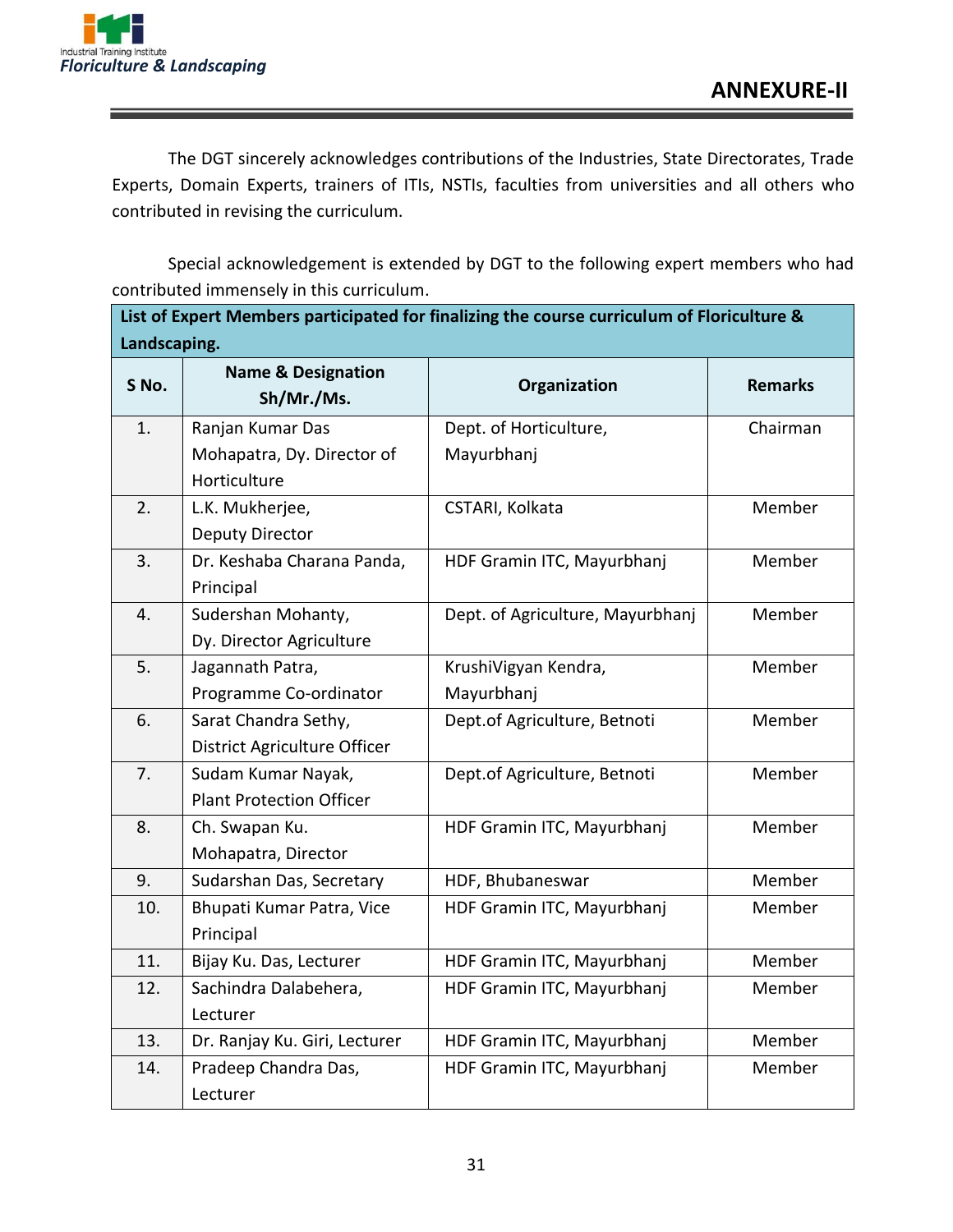The DGT sincerely acknowledges contributions of the Industries, State Directorates, Trade Experts, Domain Experts, trainers of ITIs, NSTIs, faculties from universities and all others who contributed in revising the curriculum.

Special acknowledgement is extended by DGT to the following expert members who had contributed immensely in this curriculum.

| List of Expert Members participated for finalizing the course curriculum of Floriculture & |                                             |                                  |                |
|--------------------------------------------------------------------------------------------|---------------------------------------------|----------------------------------|----------------|
| Landscaping.                                                                               |                                             |                                  |                |
| S No.                                                                                      | <b>Name &amp; Designation</b><br>Sh/Mr./Ms. | Organization                     | <b>Remarks</b> |
| 1.                                                                                         | Ranjan Kumar Das                            | Dept. of Horticulture,           | Chairman       |
|                                                                                            | Mohapatra, Dy. Director of                  | Mayurbhanj                       |                |
|                                                                                            | Horticulture                                |                                  |                |
| 2.                                                                                         | L.K. Mukherjee,                             | CSTARI, Kolkata                  | Member         |
|                                                                                            | Deputy Director                             |                                  |                |
| 3.                                                                                         | Dr. Keshaba Charana Panda,                  | HDF Gramin ITC, Mayurbhanj       | Member         |
|                                                                                            | Principal                                   |                                  |                |
| 4.                                                                                         | Sudershan Mohanty,                          | Dept. of Agriculture, Mayurbhanj | Member         |
|                                                                                            | Dy. Director Agriculture                    |                                  |                |
| 5.                                                                                         | Jagannath Patra,                            | KrushiVigyan Kendra,             | Member         |
|                                                                                            | Programme Co-ordinator                      | Mayurbhanj                       |                |
| 6.                                                                                         | Sarat Chandra Sethy,                        | Dept.of Agriculture, Betnoti     | Member         |
|                                                                                            | District Agriculture Officer                |                                  |                |
| 7.                                                                                         | Sudam Kumar Nayak,                          | Dept.of Agriculture, Betnoti     | Member         |
|                                                                                            | <b>Plant Protection Officer</b>             |                                  |                |
| 8.                                                                                         | Ch. Swapan Ku.                              | HDF Gramin ITC, Mayurbhanj       | Member         |
|                                                                                            | Mohapatra, Director                         |                                  |                |
| 9.                                                                                         | Sudarshan Das, Secretary                    | HDF, Bhubaneswar                 | Member         |
| 10.                                                                                        | Bhupati Kumar Patra, Vice                   | HDF Gramin ITC, Mayurbhanj       | Member         |
|                                                                                            | Principal                                   |                                  |                |
| 11.                                                                                        | Bijay Ku. Das, Lecturer                     | HDF Gramin ITC, Mayurbhanj       | Member         |
| 12.                                                                                        | Sachindra Dalabehera,                       | HDF Gramin ITC, Mayurbhanj       | Member         |
|                                                                                            | Lecturer                                    |                                  |                |
| 13.                                                                                        | Dr. Ranjay Ku. Giri, Lecturer               | HDF Gramin ITC, Mayurbhanj       | Member         |
| 14.                                                                                        | Pradeep Chandra Das,                        | HDF Gramin ITC, Mayurbhanj       | Member         |
|                                                                                            | Lecturer                                    |                                  |                |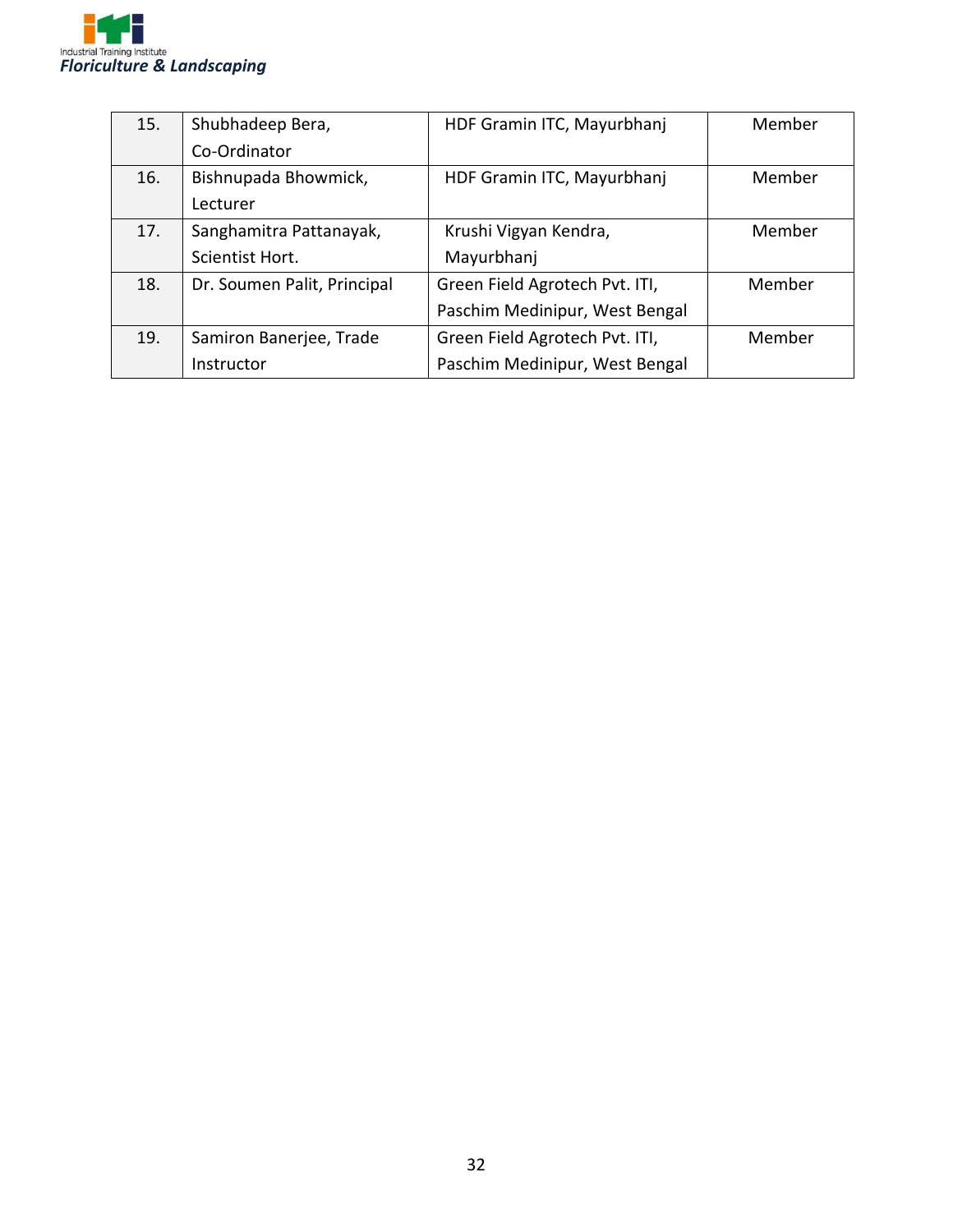

| 15. | Shubhadeep Bera,            | HDF Gramin ITC, Mayurbhanj     | Member |
|-----|-----------------------------|--------------------------------|--------|
|     | Co-Ordinator                |                                |        |
| 16. | Bishnupada Bhowmick,        | HDF Gramin ITC, Mayurbhanj     | Member |
|     | Lecturer                    |                                |        |
| 17. | Sanghamitra Pattanayak,     | Krushi Vigyan Kendra,          | Member |
|     | Scientist Hort.             | Mayurbhanj                     |        |
| 18. | Dr. Soumen Palit, Principal | Green Field Agrotech Pvt. ITI, | Member |
|     |                             | Paschim Medinipur, West Bengal |        |
| 19. | Samiron Banerjee, Trade     | Green Field Agrotech Pvt. ITI, | Member |
|     | Instructor                  | Paschim Medinipur, West Bengal |        |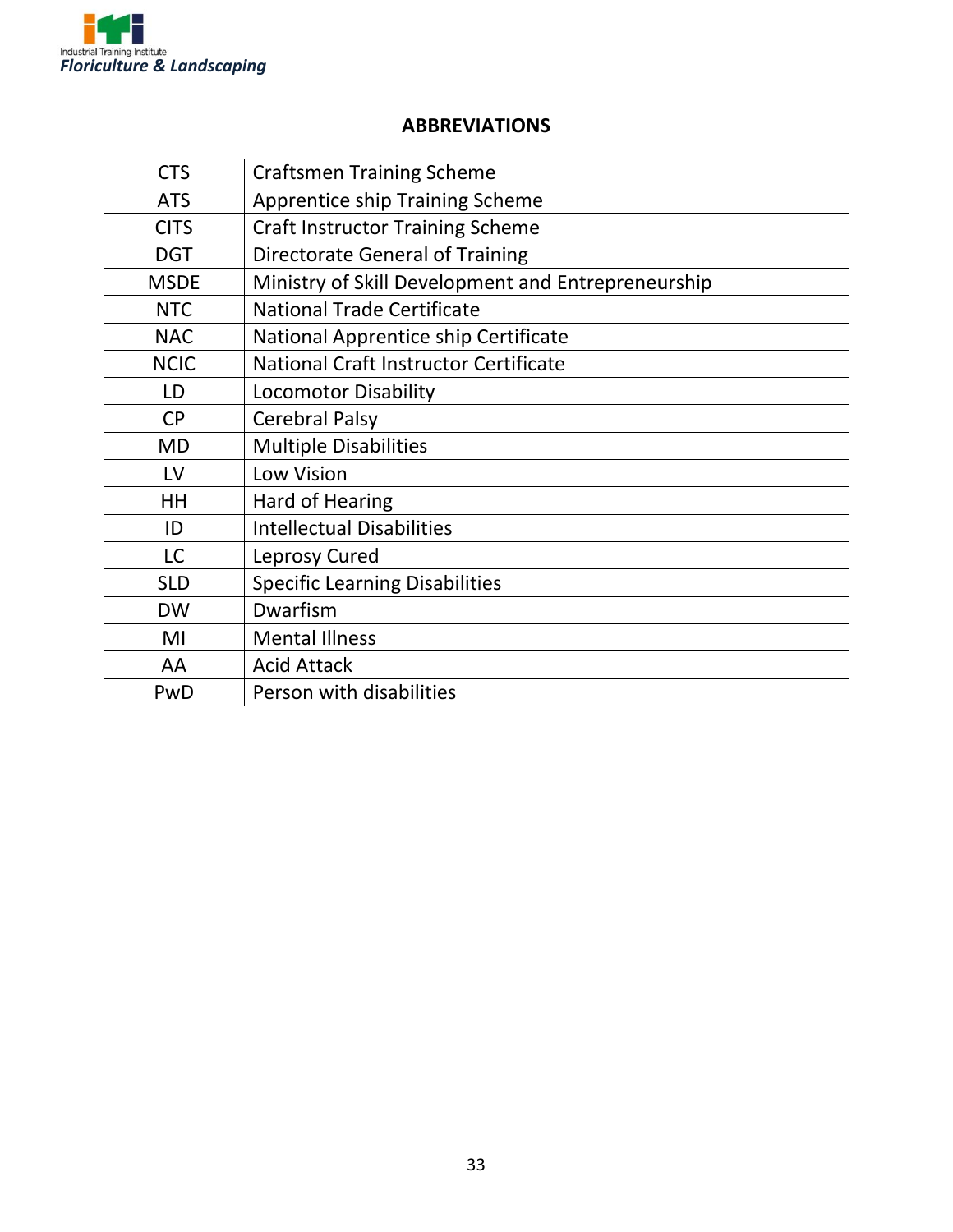

#### **ABBREVIATIONS**

| <b>CTS</b>  | <b>Craftsmen Training Scheme</b>                   |
|-------------|----------------------------------------------------|
| <b>ATS</b>  | <b>Apprentice ship Training Scheme</b>             |
| <b>CITS</b> | <b>Craft Instructor Training Scheme</b>            |
| <b>DGT</b>  | <b>Directorate General of Training</b>             |
| <b>MSDE</b> | Ministry of Skill Development and Entrepreneurship |
| <b>NTC</b>  | <b>National Trade Certificate</b>                  |
| <b>NAC</b>  | National Apprentice ship Certificate               |
| <b>NCIC</b> | National Craft Instructor Certificate              |
| LD          | <b>Locomotor Disability</b>                        |
| <b>CP</b>   | <b>Cerebral Palsy</b>                              |
| <b>MD</b>   | <b>Multiple Disabilities</b>                       |
| LV          | Low Vision                                         |
| <b>HH</b>   | Hard of Hearing                                    |
| ID          | <b>Intellectual Disabilities</b>                   |
| <b>LC</b>   | Leprosy Cured                                      |
| <b>SLD</b>  | <b>Specific Learning Disabilities</b>              |
| <b>DW</b>   | Dwarfism                                           |
| MI          | <b>Mental Illness</b>                              |
| AA          | <b>Acid Attack</b>                                 |
| PwD         | Person with disabilities                           |